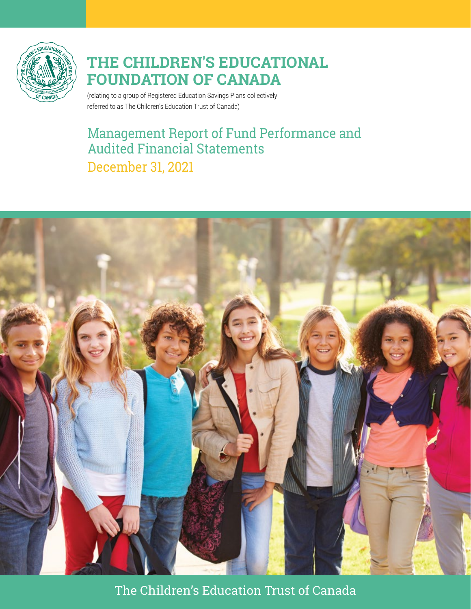

(relating to a group of Registered Education Savings Plans collectively referred to as The Children's Education Trust of Canada)

# Management Report of Fund Performance and Audited Financial Statements December 31, 2021



The Children's Education Trust of Canada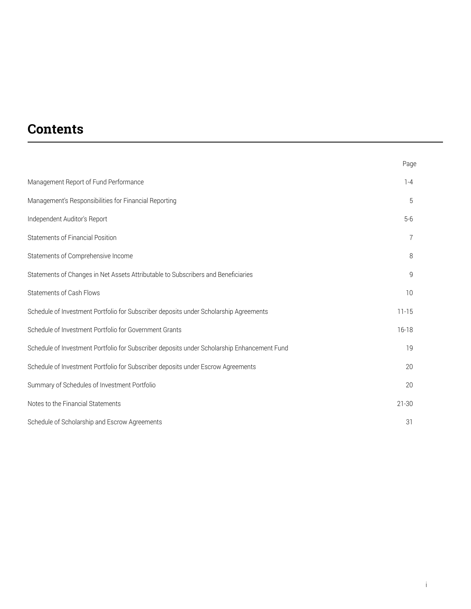# **Contents**

|                                                                                             | Page      |
|---------------------------------------------------------------------------------------------|-----------|
| Management Report of Fund Performance                                                       | $1 - 4$   |
| Management's Responsibilities for Financial Reporting                                       | 5         |
| Independent Auditor's Report                                                                | $5-6$     |
| <b>Statements of Financial Position</b>                                                     |           |
| Statements of Comprehensive Income                                                          | 8         |
| Statements of Changes in Net Assets Attributable to Subscribers and Beneficiaries           | 9         |
| <b>Statements of Cash Flows</b>                                                             | 10        |
| Schedule of Investment Portfolio for Subscriber deposits under Scholarship Agreements       | $11 - 15$ |
| Schedule of Investment Portfolio for Government Grants                                      | $16 - 18$ |
| Schedule of Investment Portfolio for Subscriber deposits under Scholarship Enhancement Fund | 19        |
| Schedule of Investment Portfolio for Subscriber deposits under Escrow Agreements            | 20        |
| Summary of Schedules of Investment Portfolio                                                | 20        |
| Notes to the Financial Statements                                                           | $21 - 30$ |
| Schedule of Scholarship and Escrow Agreements                                               | 31        |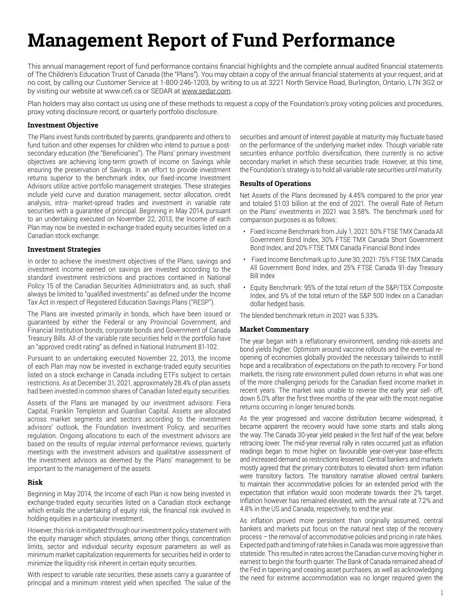# **Management Report of Fund Performance**

This annual management report of fund performance contains financial highlights and the complete annual audited financial statements of The Children's Education Trust of Canada (the "Plans"). You may obtain a copy of the annual financial statements at your request, and at no cost, by calling our Customer Service at 1-800-246-1203, by writing to us at 3221 North Service Road, Burlington, Ontario, L7N 3G2 or by visiting our website at www.cefi.ca or SEDAR at www.sedar.com.

Plan holders may also contact us using one of these methods to request a copy of the Foundation's proxy voting policies and procedures, proxy voting disclosure record, or quarterly portfolio disclosure.

#### **Investment Objective**

The Plans invest funds contributed by parents, grandparents and others to fund tuition and other expenses for children who intend to pursue a postsecondary education (the "Beneficiaries"). The Plans' primary investment objectives are achieving long-term growth of income on Savings while ensuring the preservation of Savings. In an effort to provide investment returns superior to the benchmark index, our fixed-income Investment Advisors utilize active portfolio management strategies. These strategies include yield curve and duration management, sector allocation, credit analysis, intra- market-spread trades and investment in variable rate securities with a guarantee of principal. Beginning in May 2014, pursuant to an undertaking executed on November 22, 2013, the Income of each Plan may now be invested in exchange-traded equity securities listed on a Canadian stock exchange.

#### **Investment Strategies**

In order to achieve the investment objectives of the Plans, savings and investment income earned on savings are invested according to the standard investment restrictions and practices contained in National Policy 15 of the Canadian Securities Administrators and, as such, shall always be limited to "qualified investments" as defined under the Income Tax Act in respect of Registered Education Savings Plans ("RESP").

The Plans are invested primarily in bonds, which have been issued or guaranteed by either the Federal or any Provincial Government, and Financial Institution bonds, corporate bonds and Government of Canada Treasury Bills. All of the variable rate securities held in the portfolio have an "approved credit rating" as defined in National Instrument 81-102.

Pursuant to an undertaking executed November 22, 2013, the Income of each Plan may now be invested in exchange-traded equity securities listed on a stock exchange in Canada including ETFs subject to certain restrictions. As at December 31, 2021, approximately 28.4% of plan assets had been invested in common shares of Canadian listed equity securities.

Assets of the Plans are managed by our investment advisors: Fiera Capital; Franklin Templeton and Guardian Capital. Assets are allocated across market segments and sectors according to the investment advisors' outlook, the Foundation Investment Policy, and securities regulation. Ongoing allocations to each of the investment advisors are based on the results of regular internal performance reviews, quarterly meetings with the investment advisors and qualitative assessment of the investment advisors as deemed by the Plans' management to be important to the management of the assets.

#### **Risk**

Beginning in May 2014, the Income of each Plan is now being invested in exchange-traded equity securities listed on a Canadian stock exchange which entails the undertaking of equity risk, the financial risk involved in holding equities in a particular investment.

However, this risk is mitigated through our investment policy statement with the equity manager which stipulates, among other things, concentration limits, sector and individual security exposure parameters as well as minimum market capitalization requirements for securities held in order to minimize the liquidity risk inherent in certain equity securities.

With respect to variable rate securities, these assets carry a guarantee of principal and a minimum interest yield when specified. The value of the

securities and amount of interest payable at maturity may fluctuate based on the performance of the underlying market index. Though variable rate securities enhance portfolio diversification, there currently is no active secondary market in which these securities trade. However, at this time, the Foundation's strategy is to hold all variable rate securities until maturity.

#### **Results of Operations**

Net Assets of the Plans decreased by 4.45% compared to the prior year and totaled \$1.03 billion at the end of 2021. The overall Rate of Return on the Plans' investments in 2021 was 3.58%. The benchmark used for comparison purposes is as follows:

- Fixed Income Benchmark from July 1, 2021: 50% FTSE TMX Canada All Government Bond Index, 30% FTSE TMX Canada Short Government Bond Index, and 20% FTSE TMX Canada Financial Bond Index
- Fixed Income Benchmark up to June 30, 2021: 75% FTSE TMX Canada All Government Bond Index, and 25% FTSE Canada 91-day Treasury Bill Index
- Equity Benchmark: 95% of the total return of the S&P/TSX Composite Index, and 5% of the total return of the S&P 500 Index on a Canadian dollar hedged basis.

The blended benchmark return in 2021 was 5.33%.

#### **Market Commentary**

The year began with a reflationary environment, sending risk-assets and bond yields higher. Optimism around vaccine rollouts and the eventual reopening of economies globally provided the necessary tailwinds to instill hope and a recalibration of expectations on the path to recovery. For bond markets, the rising rate environment pulled down returns in what was one of the more challenging periods for the Canadian fixed income market in recent years. The market was unable to reverse the early year sell- off, down 5.0% after the first three months of the year with the most negative returns occurring in longer tenured bonds.

As the year progressed and vaccine distribution became widespread, it became apparent the recovery would have some starts and stalls along the way. The Canada 30-year yield peaked in the first half of the year, before retracing lower. The mid-year reversal rally in rates occurred just as inflation readings began to move higher on favourable year-over-year base-effects and increased demand as restrictions lessened. Central bankers and markets mostly agreed that the primary contributors to elevated short- term inflation were transitory factors. The transitory narrative allowed central bankers to maintain their accommodative policies for an extended period with the expectation that inflation would soon moderate towards their 2% target. Inflation however has remained elevated, with the annual rate at 7.2% and 4.8% in the US and Canada, respectively, to end the year.

As inflation proved more persistent than originally assumed, central bankers and markets put focus on the natural next step of the recovery process – the removal of accommodative policies and pricing in rate hikes. Expected path and timing of rate hikes in Canada was more aggressive than stateside. This resulted in rates across the Canadian curve moving higher in earnest to begin the fourth quarter. The Bank of Canada remained ahead of the Fed in tapering and ceasing asset purchases, as well as acknowledging the need for extreme accommodation was no longer required given the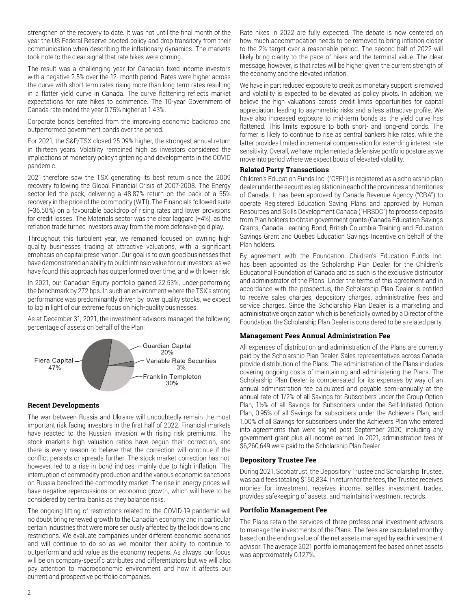strengthen of the recovery to date. It was not until the final month of the year the US Federal Reserve pivoted policy and drop transitory from their communication when describing the inflationary dynamics. The markets took note to the clear signal that rate hikes were coming.

The result was a challenging year for Canadian fixed income investors with a negative 2.5% over the 12- month period. Rates were higher across the curve with short term rates rising more than long term rates resulting in a flatter yield curve in Canada. The curve flattening reflects market expectations for rate hikes to commence. The 10-year Government of Canada rate ended the year 0.75% higher at 1.43%.

Corporate bonds benefited from the improving economic backdrop and outperformed government bonds over the period.

For 2021, the S&P/TSX closed 25.09% higher, the strongest annual return in thirteen years. Volatility remained high as investors considered the implications of monetary policy tightening and developments in the COVID pandemic.

2021 therefore saw the TSX generating its best return since the 2009 recovery following the Global Financial Crisis of 2007-2008. The Energy sector led the pack, delivering a 48.87% return on the back of a 55% recovery in the price of the commodity (WTI). The Financials followed suite (+36.50%) on a favourable backdrop of rising rates and lower provisions for credit losses. The Materials sector was the clear laggard (+4%), as the reflation trade turned investors away from the more defensive gold play.

Throughout this turbulent year, we remained focused on owning high quality businesses trading at attractive valuations, with a significant emphasis on capital preservation. Our goal is to own good businesses that have demonstrated an ability to build intrinsic value for our investors, as we have found this approach has outperformed over time, and with lower risk.

In 2021, our Canadian Equity portfolio gained 22.53%, under-performing the benchmark by 272 bps. In such an environment where the TSX's strong performance was predominantly driven by lower quality stocks, we expect to lag in light of our extreme focus on high-quality businesses.

As at December 31, 2021, the investment advisors managed the following percentage of assets on behalf of the Plan:



#### **Recent Developments**

The war between Russia and Ukraine will undoubtedly remain the most important risk facing investors in the first half of 2022. Financial markets have reacted to the Russian invasion with rising risk premiums. The stock market's high valuation ratios have begun their correction, and there is every reason to believe that the correction will continue if the conflict persists or spreads further. The stock market correction has not, however, led to a rise in bond indices, mainly due to high inflation. The interruption of commodity production and the various economic sanctions on Russia benefited the commodity market. The rise in energy prices will have negative repercussions on economic growth, which will have to be considered by central banks as they balance risks.

The ongoing lifting of restrictions related to the COVID-19 pandemic will no doubt bring renewed growth to the Canadian economy and in particular certain industries that were more seriously affected by the lock downs and restrictions. We evaluate companies under different economic scenarios and will continue to do so as we monitor their ability to continue to outperform and add value as the economy reopens. As always, our focus will be on company-specific attributes and differentiators but we will also pay attention to macroeconomic environment and how it affects our current and prospective portfolio companies.

Rate hikes in 2022 are fully expected. The debate is now centered on how much accommodation needs to be removed to bring inflation closer to the 2% target over a reasonable period. The second half of 2022 will likely bring clarity to the pace of hikes and the terminal value. The clear message, however, is that rates will be higher given the current strength of the economy and the elevated inflation.

We have in part reduced exposure to credit as monetary support is removed and volatility is expected to be elevated as policy pivots. In addition, we believe the high valuations across credit limits opportunities for capital appreciation, leading to asymmetric risks and a less attractive profile. We have also increased exposure to mid-term bonds as the yield curve has flattened. This limits exposure to both short- and long-end bonds. The former is likely to continue to rise as central bankers hike rates, while the latter provides limited incremental compensation for extending interest rate sensitivity. Overall, we have implemented a defensive portfolio posture as we move into period where we expect bouts of elevated volatility.

#### **Related Party Transactions**

Children's Education Funds Inc. ("CEFI") is registered as a scholarship plan dealer under the securities legislation in each of the provinces and territories of Canada. It has been approved by Canada Revenue Agency ("CRA") to operate Registered Education Saving Plans and approved by Human Resources and Skills Development Canada ("HRSDC") to process deposits from Plan holders to obtain government grants (Canada Education Savings Grants, Canada Learning Bond, British Columbia Training and Education Savings Grant and Quebec Education Savings Incentive on behalf of the Plan holders.

By agreement with the Foundation, Children's Education Funds Inc. has been appointed as the Scholarship Plan Dealer for the Children's Educational Foundation of Canada and as such is the exclusive distributor and administrator of the Plans. Under the terms of this agreement and in accordance with the prospectus, the Scholarship Plan Dealer is entitled to receive sales charges, depository charges, administrative fees and service charges. Since the Scholarship Plan Dealer is a marketing and administrative organization which is beneficially owned by a Director of the Foundation, the Scholarship Plan Dealer is considered to be a related party.

#### **Management Fees Annual Administration Fee**

All expenses of distribution and administration of the Plans are currently paid by the Scholarship Plan Dealer. Sales representatives across Canada provide distribution of the Plans. The administration of the Plans includes covering ongoing costs of maintaining and administering the Plans. The Scholarship Plan Dealer is compensated for its expenses by way of an annual administration fee calculated and payable semi-annually at the annual rate of 1/2% of all Savings for Subscribers under the Group Option Plan, 1½% of all Savings for Subscribers under the Self-Initiated Option Plan, 0.95% of all Savings for subscribers under the Achievers Plan, and 1.00% of all Savings for subscribers under the Achievers Plan who entered into agreements that were signed post September 2020, including any government grant plus all income earned. In 2021, administration fees of \$6,260,649 were paid to the Scholarship Plan Dealer.

#### **Depository Trustee Fee**

During 2021, Scotiatrust, the Depository Trustee and Scholarship Trustee, was paid fees totaling \$150,834. In return for the fees, the Trustee receives monies for investment, receives income, settles investment trades, provides safekeeping of assets, and maintains investment records.

#### **Portfolio Management Fee**

The Plans retain the services of three professional investment advisors to manage the investments of the Plans. The fees are calculated monthly based on the ending value of the net assets managed by each investment advisor. The average 2021 portfolio management fee based on net assets was approximately 0.127%.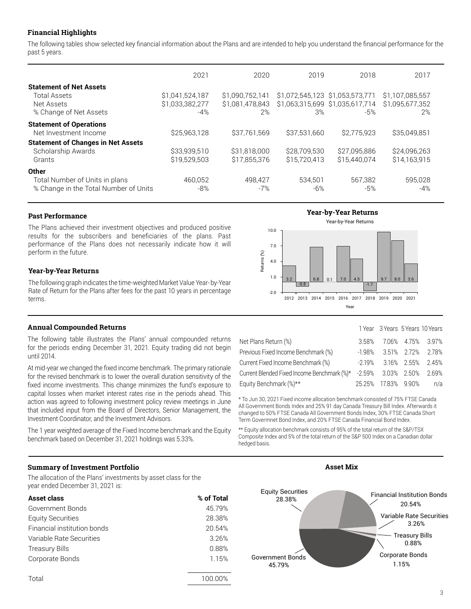#### **Financial Highlights**

The following tables show selected key financial information about the Plans and are intended to help you understand the financial performance for the past 5 years.

|                                                                                                      | 2021                                        | 2020                                     | 2019                                  | 2018                                   | 2017                                     |
|------------------------------------------------------------------------------------------------------|---------------------------------------------|------------------------------------------|---------------------------------------|----------------------------------------|------------------------------------------|
| <b>Statement of Net Assets</b><br><b>Total Assets</b><br>Net Assets<br>% Change of Net Assets        | \$1,041,524,187<br>\$1,033,382,277<br>$-4%$ | \$1.090.752.141<br>\$1,081,478,843<br>2% | \$1,072,545,123 \$1,053,573,771<br>3% | \$1,063,315,699 \$1,035,617,714<br>-5% | \$1,107,085,557<br>\$1.095.677.352<br>2% |
| <b>Statement of Operations</b><br>Net Investment Income<br><b>Statement of Changes in Net Assets</b> | \$25,963,128                                | \$37.761.569                             | \$37,531,660                          | \$2,775,923                            | \$35,049.851                             |
| Scholarship Awards<br>Grants                                                                         | \$33,939,510<br>\$19,529,503                | \$31,818,000<br>\$17,855,376             | \$28,709,530<br>\$15,720,413          | \$27,095,886<br>\$15,440,074           | \$24.096.263<br>\$14.163.915             |
| <b>Other</b><br>Total Number of Units in plans<br>% Change in the Total Number of Units              | 460.052<br>$-8%$                            | 498.427<br>$-7%$                         | 534.501<br>-6%                        | 567.382<br>-5%                         | 595,028<br>$-4%$                         |

#### **Past Performance**

The Plans achieved their investment objectives and produced positive results for the subscribers and beneficiaries of the plans. Past performance of the Plans does not necessarily indicate how it will perform in the future.

#### **Year-by-Year Returns**

The following graph indicates the time-weighted Market Value Year- by-Year Rate of Return for the Plans after fees for the past 10 years in percentage terms.

#### **Annual Compounded Returns**

The following table illustrates the Plans' annual compounded returns for the periods ending December 31, 2021. Equity trading did not begin until 2014.

At mid-year we changed the fixed income benchmark. The primary rationale for the revised benchmark is to lower the overall duration sensitivity of the fixed income investments. This change minimizes the fund's exposure to capital losses when market interest rates rise in the periods ahead. This action was agreed to following investment policy review meetings in June that included input from the Board of Directors, Senior Management, the Investment Coordinator, and the Investment Advisors.

The 1 year weighted average of the Fixed Income benchmark and the Equity benchmark based on December 31, 2021 holdings was 5.33%.

#### **Summary of Investment Portfolio**

The allocation of the Plans' investments by asset class for the year ended December 31, 2021 is:

| Asset class                 | % of Total |
|-----------------------------|------------|
| Government Bonds            | 45.79%     |
| <b>Equity Securities</b>    | 28.38%     |
| Financial institution bonds | 20.54%     |
| Variable Rate Securities    | 3.26%      |
| <b>Treasury Bills</b>       | 0.88%      |
| Corporate Bonds             | 1.15%      |
|                             |            |

**Year-by-Year Returns**



|                                                                      |       |                     | 1 Year 3 Years 5 Years 10 Years |
|----------------------------------------------------------------------|-------|---------------------|---------------------------------|
| Net Plans Return (%)                                                 | 3.58% |                     | 7.06% 4.75% 3.97%               |
| Previous Fixed Income Benchmark (%)                                  |       |                     | $-1.98\%$ 3.51% 2.72% 2.78%     |
| Current Fixed Income Benchmark (%)                                   |       |                     | $-2.19\%$ 3.16% 2.55% 2.45%     |
| Current Blended Fixed Income Benchmark (%)* -2.59% 3.03% 2.50% 2.69% |       |                     |                                 |
| Equity Benchmark (%)**                                               |       | 25.25% 17.83% 9.90% | n/a                             |

\* To Jun 30, 2021 Fixed income allocation benchmark consisted of 75% FTSE Canada All Government Bonds Index and 25% 91 day Canada Treasury Bill Index. Afterwards it changed to 50% FTSE Canada All Government Bonds Index, 30% FTSE Canada Short Term Govermnet Bond Index, and 20% FTSE Canada Financial Bond Index.

\*\* Equity allocation benchmark consists of 95% of the total return of the S&P/TSX Composite Index and 5% of the total return of the S&P 500 Index on a Canadian dollar hedged basis.

**Asset Mix**

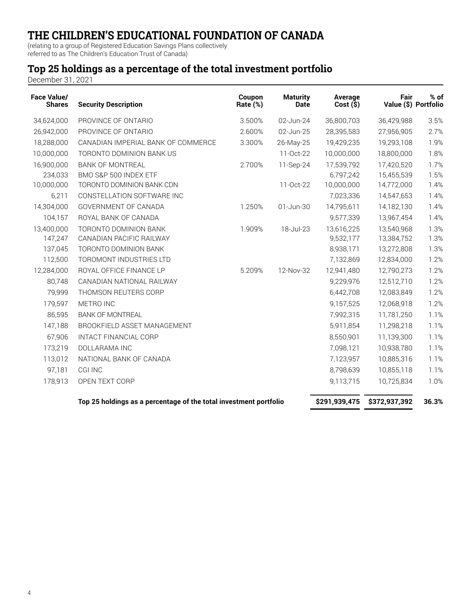(relating to a group of Registered Education Savings Plans collectively referred to as The Children's Education Trust of Canada)

### **Top 25 holdings as a percentage of the total investment portfolio**

December 31, 2021

| <b>Face Value/</b><br><b>Shares</b> | <b>Security Description</b>                                       | Coupon<br>Rate (%) | <b>Maturity</b><br><b>Date</b> | Average<br>Cost(S) | Fair          | $%$ of<br>Value (\$) Portfolio |
|-------------------------------------|-------------------------------------------------------------------|--------------------|--------------------------------|--------------------|---------------|--------------------------------|
| 34,624,000                          | PROVINCE OF ONTARIO                                               | 3.500%             | 02-Jun-24                      | 36,800,703         | 36,429,988    | 3.5%                           |
| 26,942,000                          | PROVINCE OF ONTARIO                                               | 2.600%             | 02-Jun-25                      | 28,395,583         | 27,956,905    | 2.7%                           |
| 18,288,000                          | CANADIAN IMPERIAL BANK OF COMMERCE                                | 3.300%             | 26-May-25                      | 19,429,235         | 19,293,108    | 1.9%                           |
| 10,000,000                          | TORONTO DOMINION BANK US                                          |                    | 11-Oct-22                      | 10,000,000         | 18,800,000    | 1.8%                           |
| 16,900,000                          | <b>BANK OF MONTREAL</b>                                           | 2.700%             | 11-Sep-24                      | 17,539,792         | 17,420,520    | 1.7%                           |
| 234,033                             | BMO S&P 500 INDEX ETF                                             |                    |                                | 6,797,242          | 15,455,539    | 1.5%                           |
| 10,000,000                          | TORONTO DOMINION BANK CDN                                         |                    | 11-Oct-22                      | 10,000,000         | 14,772,000    | 1.4%                           |
| 6,211                               | CONSTELLATION SOFTWARE INC                                        |                    |                                | 7,023,336          | 14,547,653    | 1.4%                           |
| 14,304,000                          | GOVERNMENT OF CANADA                                              | 1.250%             | 01-Jun-30                      | 14,795,611         | 14,182,130    | 1.4%                           |
| 104,157                             | ROYAL BANK OF CANADA                                              |                    |                                | 9,577,339          | 13,967,454    | 1.4%                           |
| 13,400,000                          | TORONTO DOMINION BANK                                             | 1.909%             | 18-Jul-23                      | 13,616,225         | 13,540,968    | 1.3%                           |
| 147,247                             | CANADIAN PACIFIC RAILWAY                                          |                    |                                | 9,532,177          | 13,384,752    | 1.3%                           |
| 137,045                             | TORONTO DOMINION BANK                                             |                    |                                | 8,938,171          | 13,272,808    | 1.3%                           |
| 112,500                             | TOROMONT INDUSTRIES LTD                                           |                    |                                | 7,132,869          | 12,834,000    | 1.2%                           |
| 12,284,000                          | ROYAL OFFICE FINANCE LP                                           | 5.209%             | 12-Nov-32                      | 12,941,480         | 12,790,273    | 1.2%                           |
| 80,748                              | CANADIAN NATIONAL RAILWAY                                         |                    |                                | 9,229,976          | 12,512,710    | 1.2%                           |
| 79,999                              | THOMSON REUTERS CORP                                              |                    |                                | 6,442,708          | 12,083,849    | 1.2%                           |
| 179,597                             | METRO INC                                                         |                    |                                | 9,157,525          | 12,068,918    | 1.2%                           |
| 86,595                              | <b>BANK OF MONTREAL</b>                                           |                    |                                | 7,992,315          | 11,781,250    | 1.1%                           |
| 147,188                             | BROOKFIELD ASSET MANAGEMENT                                       |                    |                                | 5,911,854          | 11,298,218    | 1.1%                           |
| 67,906                              | INTACT FINANCIAL CORP                                             |                    |                                | 8,550,901          | 11,139,300    | 1.1%                           |
| 173,219                             | DOLLARAMA INC                                                     |                    |                                | 7,098,121          | 10,938,780    | 1.1%                           |
| 113,012                             | NATIONAL BANK OF CANADA                                           |                    |                                | 7,123,957          | 10,885,316    | 1.1%                           |
| 97,181                              | <b>CGI INC</b>                                                    |                    |                                | 8,798,639          | 10,855,118    | 1.1%                           |
| 178,913                             | OPEN TEXT CORP                                                    |                    |                                | 9,113,715          | 10,725,834    | 1.0%                           |
|                                     | Top 25 holdings as a percentage of the total investment portfolio |                    |                                | \$291,939,475      | \$372,937,392 | 36.3%                          |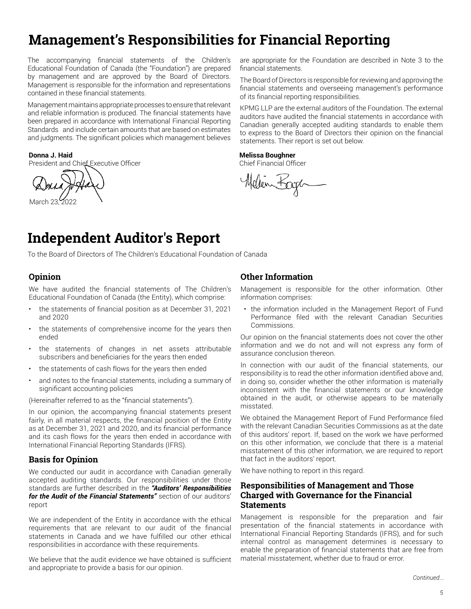# **Management's Responsibilities for Financial Reporting**

The accompanying financial statements of the Children's Educational Foundation of Canada (the "Foundation") are prepared by management and are approved by the Board of Directors. Management is responsible for the information and representations contained in these financial statements.

Management maintains appropriate processes to ensure that relevant and reliable information is produced. The financial statements have been prepared in accordance with International Financial Reporting Standards and include certain amounts that are based on estimates and judgments. The significant policies which management believes

President and Chief Executive Officer Chief Financial Officer Chief Financial Officer

March 23, 2022

are appropriate for the Foundation are described in Note 3 to the financial statements.

The Board of Directors is responsible for reviewing and approving the financial statements and overseeing management's performance of its financial reporting responsibilities.

KPMG LLP are the external auditors of the Foundation. The external auditors have audited the financial statements in accordance with Canadian generally accepted auditing standards to enable them to express to the Board of Directors their opinion on the financial statements. Their report is set out below.

#### **Donna J. Haid Melissa Boughner**

Mellen Bagen

# **Independent Auditor's Report**

To the Board of Directors of The Children's Educational Foundation of Canada

#### **Opinion**

We have audited the financial statements of The Children's Educational Foundation of Canada (the Entity), which comprise:

- the statements of financial position as at December 31, 2021 and 2020
- the statements of comprehensive income for the years then ended
- the statements of changes in net assets attributable subscribers and beneficiaries for the years then ended
- the statements of cash flows for the years then ended
- and notes to the financial statements, including a summary of significant accounting policies

(Hereinafter referred to as the "financial statements").

In our opinion, the accompanying financial statements present fairly, in all material respects, the financial position of the Entity as at December 31, 2021 and 2020, and its financial performance and its cash flows for the years then ended in accordance with International Financial Reporting Standards (IFRS).

#### **Basis for Opinion**

We conducted our audit in accordance with Canadian generally accepted auditing standards. Our responsibilities under those standards are further described in the *"Auditors' Responsibilities for the Audit of the Financial Statements"* section of our auditors' report

We are independent of the Entity in accordance with the ethical requirements that are relevant to our audit of the financial statements in Canada and we have fulfilled our other ethical responsibilities in accordance with these requirements.

We believe that the audit evidence we have obtained is sufficient and appropriate to provide a basis for our opinion.

#### **Other Information**

Management is responsible for the other information. Other information comprises:

the information included in the Management Report of Fund Performance filed with the relevant Canadian Securities Commissions.

Our opinion on the financial statements does not cover the other information and we do not and will not express any form of assurance conclusion thereon.

In connection with our audit of the financial statements, our responsibility is to read the other information identified above and, in doing so, consider whether the other information is materially inconsistent with the financial statements or our knowledge obtained in the audit, or otherwise appears to be materially misstated.

We obtained the Management Report of Fund Performance filed with the relevant Canadian Securities Commissions as at the date of this auditors' report. If, based on the work we have performed on this other information, we conclude that there is a material misstatement of this other information, we are required to report that fact in the auditors' report.

We have nothing to report in this regard.

#### **Responsibilities of Management and Those Charged with Governance for the Financial Statements**

Management is responsible for the preparation and fair presentation of the financial statements in accordance with International Financial Reporting Standards (IFRS), and for such internal control as management determines is necessary to enable the preparation of financial statements that are free from material misstatement, whether due to fraud or error.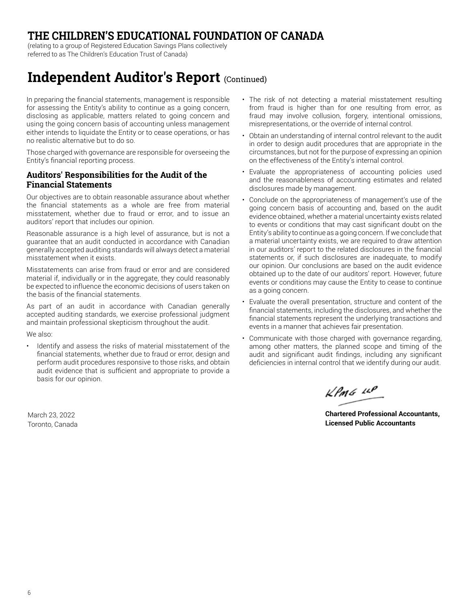(relating to a group of Registered Education Savings Plans collectively referred to as The Children's Education Trust of Canada)

# **Independent Auditor's Report (Continued)**

In preparing the financial statements, management is responsible for assessing the Entity's ability to continue as a going concern. disclosing as applicable, matters related to going concern and using the going concern basis of accounting unless management either intends to liquidate the Entity or to cease operations, or has no realistic alternative but to do so.

Those charged with governance are responsible for overseeing the Entity's financial reporting process.

#### **Auditors' Responsibilities for the Audit of the Financial Statements**

Our objectives are to obtain reasonable assurance about whether the financial statements as a whole are free from material misstatement, whether due to fraud or error, and to issue an auditors' report that includes our opinion.

Reasonable assurance is a high level of assurance, but is not a guarantee that an audit conducted in accordance with Canadian generally accepted auditing standards will always detect a material misstatement when it exists.

Misstatements can arise from fraud or error and are considered material if, individually or in the aggregate, they could reasonably be expected to influence the economic decisions of users taken on the basis of the financial statements.

As part of an audit in accordance with Canadian generally accepted auditing standards, we exercise professional judgment and maintain professional skepticism throughout the audit.

We also:

Identify and assess the risks of material misstatement of the financial statements, whether due to fraud or error, design and perform audit procedures responsive to those risks, and obtain audit evidence that is sufficient and appropriate to provide a basis for our opinion.

March 23, 2022 Toronto, Canada

- The risk of not detecting a material misstatement resulting from fraud is higher than for one resulting from error, as fraud may involve collusion, forgery, intentional omissions, misrepresentations, or the override of internal control.
- Obtain an understanding of internal control relevant to the audit in order to design audit procedures that are appropriate in the circumstances, but not for the purpose of expressing an opinion on the effectiveness of the Entity's internal control.
- Evaluate the appropriateness of accounting policies used and the reasonableness of accounting estimates and related disclosures made by management.
- Conclude on the appropriateness of management's use of the going concern basis of accounting and, based on the audit evidence obtained, whether a material uncertainty exists related to events or conditions that may cast significant doubt on the Entity's ability to continue as a going concern. If we conclude that a material uncertainty exists, we are required to draw attention in our auditors' report to the related disclosures in the financial statements or, if such disclosures are inadequate, to modify our opinion. Our conclusions are based on the audit evidence obtained up to the date of our auditors' report. However, future events or conditions may cause the Entity to cease to continue as a going concern.
- Evaluate the overall presentation, structure and content of the financial statements, including the disclosures, and whether the financial statements represent the underlying transactions and events in a manner that achieves fair presentation.
- Communicate with those charged with governance regarding, among other matters, the planned scope and timing of the audit and significant audit findings, including any significant deficiencies in internal control that we identify during our audit.

 $L$ *PMG*  $L P$ 

**Chartered Professional Accountants, Licensed Public Accountants**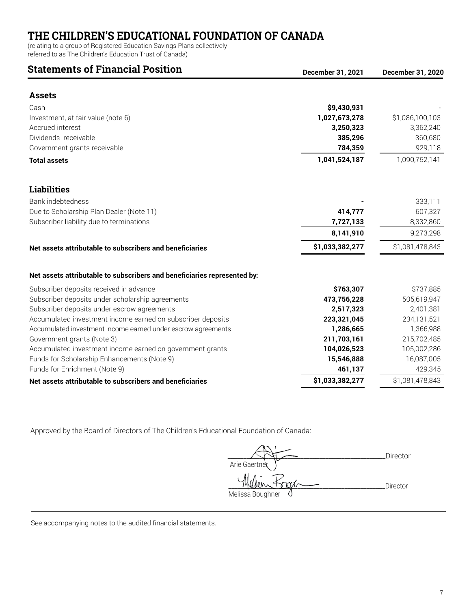(relating to a group of Registered Education Savings Plans collectively

referred to as The Children's Education Trust of Canada)

### **Statements of Financial Position**

| Statements of Financial Position                                         | December 31, 2021 | December 31, 2020 |
|--------------------------------------------------------------------------|-------------------|-------------------|
| <b>Assets</b>                                                            |                   |                   |
| Cash                                                                     | \$9,430,931       |                   |
| Investment, at fair value (note 6)                                       | 1,027,673,278     | \$1,086,100,103   |
| Accrued interest                                                         | 3,250,323         | 3,362,240         |
| Dividends receivable                                                     | 385,296           | 360,680           |
| Government grants receivable                                             | 784,359           | 929,118           |
| <b>Total assets</b>                                                      | 1,041,524,187     | 1,090,752,141     |
| <b>Liabilities</b>                                                       |                   |                   |
| Bank indebtedness                                                        |                   | 333,111           |
| Due to Scholarship Plan Dealer (Note 11)                                 | 414,777           | 607,327           |
| Subscriber liability due to terminations                                 | 7,727,133         | 8,332,860         |
|                                                                          | 8,141,910         | 9,273,298         |
| Net assets attributable to subscribers and beneficiaries                 | \$1,033,382,277   | \$1,081,478,843   |
| Net assets attributable to subscribers and beneficiaries represented by: |                   |                   |
| Subscriber deposits received in advance                                  | \$763,307         | \$737,885         |
| Subscriber deposits under scholarship agreements                         | 473,756,228       | 505,619,947       |
| Subscriber deposits under escrow agreements                              | 2,517,323         | 2,401,381         |
| Accumulated investment income earned on subscriber deposits              | 223,321,045       | 234,131,521       |
| Accumulated investment income earned under escrow agreements             | 1,286,665         | 1,366,988         |
| Government grants (Note 3)                                               | 211,703,161       | 215,702,485       |
| Accumulated investment income earned on government grants                | 104,026,523       | 105,002,286       |
| Funds for Scholarship Enhancements (Note 9)                              | 15,546,888        | 16,087,005        |
| Funds for Enrichment (Note 9)                                            | 461,137           | 429,345           |
| Net assets attributable to subscribers and beneficiaries                 | \$1,033,382,277   | \$1,081,478,843   |

Approved by the Board of Directors of The Children's Educational Foundation of Canada:

 \_\_\_\_\_\_\_\_\_\_\_\_\_\_\_\_\_\_\_\_\_\_\_\_\_\_\_\_\_\_\_\_\_\_\_\_\_\_\_\_\_\_\_\_\_\_\_\_\_\_Director Arie Gaertne \_\_\_\_\_\_\_\_\_\_\_\_\_\_\_\_\_\_\_\_\_\_\_\_\_\_\_\_\_\_\_\_\_\_\_\_\_\_\_\_\_\_\_\_\_\_\_\_\_\_Director Melissa Boughner

See accompanying notes to the audited financial statements.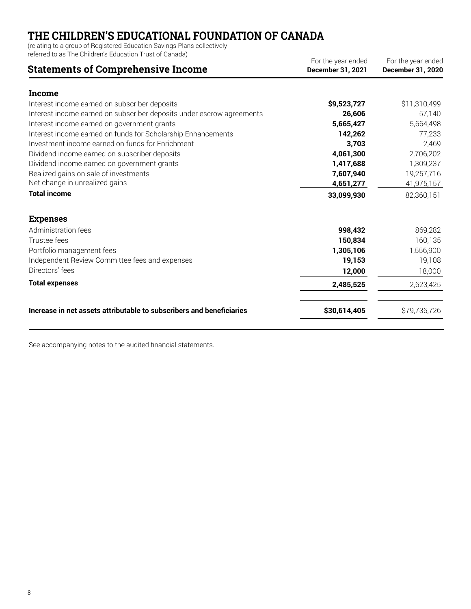(relating to a group of Registered Education Savings Plans collectively

referred to as The Children's Education Trust of Canada)

| For the year ended<br>December 31, 2021 | For the year ended<br>December 31, 2020 |
|-----------------------------------------|-----------------------------------------|
|                                         |                                         |
| \$9,523,727                             | \$11,310,499                            |
| 26,606                                  | 57,140                                  |
| 5,665,427                               | 5,664,498                               |
| 142,262                                 | 77,233                                  |
| 3,703                                   | 2,469                                   |
| 4,061,300                               | 2,706,202                               |
| 1,417,688                               | 1,309,237                               |
| 7,607,940                               | 19,257,716                              |
| 4,651,277                               | 41,975,157                              |
| 33,099,930                              | 82,360,151                              |
|                                         |                                         |
| 998,432                                 | 869,282                                 |
| 150,834                                 | 160,135                                 |
| 1,305,106                               | 1,556,900                               |
| 19,153                                  | 19,108                                  |
| 12,000                                  | 18,000                                  |
| 2,485,525                               | 2,623,425                               |
| \$30,614,405                            | \$79,736,726                            |
|                                         |                                         |

See accompanying notes to the audited financial statements.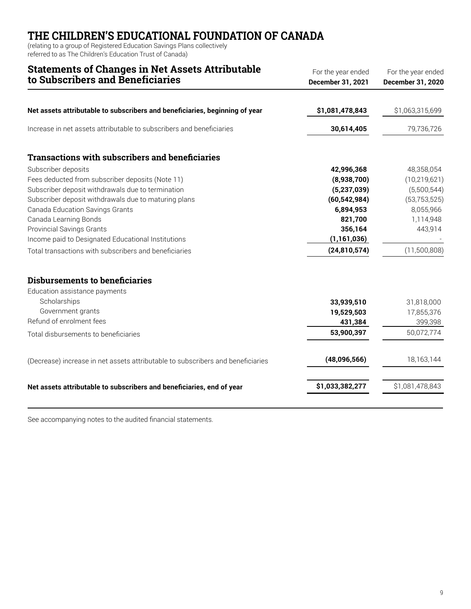(relating to a group of Registered Education Savings Plans collectively referred to as The Children's Education Trust of Canada)

# **Statements of Changes in Net Assets Attributable**

| to Subscribers and Beneficiaries                                                | December 31, 2021 | December 31, 2020 |
|---------------------------------------------------------------------------------|-------------------|-------------------|
| Net assets attributable to subscribers and beneficiaries, beginning of year     | \$1,081,478,843   | \$1,063,315,699   |
|                                                                                 |                   |                   |
| Increase in net assets attributable to subscribers and beneficiaries            | 30,614,405        | 79,736,726        |
| <b>Transactions with subscribers and beneficiaries</b>                          |                   |                   |
| Subscriber deposits                                                             | 42,996,368        | 48,358,054        |
| Fees deducted from subscriber deposits (Note 11)                                | (8,938,700)       | (10, 219, 621)    |
| Subscriber deposit withdrawals due to termination                               | (5, 237, 039)     | (5,500,544)       |
| Subscriber deposit withdrawals due to maturing plans                            | (60, 542, 984)    | (53, 753, 525)    |
| Canada Education Savings Grants                                                 | 6,894,953         | 8,055,966         |
| Canada Learning Bonds                                                           | 821,700           | 1,114,948         |
| <b>Provincial Savings Grants</b>                                                | 356,164           | 443,914           |
| Income paid to Designated Educational Institutions                              | (1, 161, 036)     |                   |
| Total transactions with subscribers and beneficiaries                           | (24, 810, 574)    | (11,500,808)      |
| <b>Disbursements to beneficiaries</b>                                           |                   |                   |
| Education assistance payments                                                   |                   |                   |
| Scholarships                                                                    | 33,939,510        | 31,818,000        |
| Government grants                                                               | 19,529,503        | 17,855,376        |
| Refund of enrolment fees                                                        | 431,384           | 399,398           |
| Total disbursements to beneficiaries                                            | 53,900,397        | 50,072,774        |
| (Decrease) increase in net assets attributable to subscribers and beneficiaries | (48,096,566)      | 18,163,144        |
| Net assets attributable to subscribers and beneficiaries, end of year           | \$1,033,382,277   | \$1,081,478,843   |
|                                                                                 |                   |                   |

See accompanying notes to the audited financial statements.

For the year ended For the year ended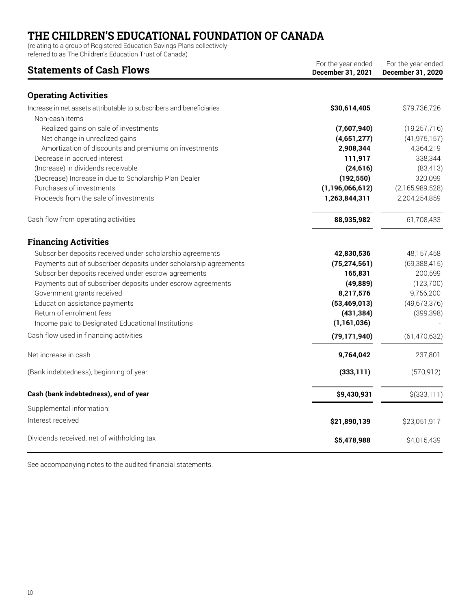(relating to a group of Registered Education Savings Plans collectively

referred to as The Children's Education Trust of Canada)

| For the year ended<br><b>Statements of Cash Flows</b><br>December 31, 2021             |                    | For the year ended<br>December 31, 2020 |
|----------------------------------------------------------------------------------------|--------------------|-----------------------------------------|
| <b>Operating Activities</b>                                                            |                    |                                         |
| Increase in net assets attributable to subscribers and beneficiaries<br>Non-cash items | \$30,614,405       | \$79,736,726                            |
| Realized gains on sale of investments                                                  | (7,607,940)        | (19, 257, 716)                          |
| Net change in unrealized gains                                                         | (4,651,277)        | (41, 975, 157)                          |
| Amortization of discounts and premiums on investments                                  | 2,908,344          | 4,364,219                               |
| Decrease in accrued interest                                                           | 111,917            | 338,344                                 |
| (Increase) in dividends receivable                                                     | (24, 616)          | (83, 413)                               |
| (Decrease) Increase in due to Scholarship Plan Dealer                                  | (192, 550)         | 320,099                                 |
| Purchases of investments                                                               | (1, 196, 066, 612) | (2,165,989,528)                         |
| Proceeds from the sale of investments                                                  | 1,263,844,311      | 2,204,254,859                           |
| Cash flow from operating activities                                                    | 88,935,982         | 61,708,433                              |
| <b>Financing Activities</b>                                                            |                    |                                         |
| Subscriber deposits received under scholarship agreements                              | 42,830,536         | 48,157,458                              |
| Payments out of subscriber deposits under scholarship agreements                       | (75, 274, 561)     | (69, 388, 415)                          |
| Subscriber deposits received under escrow agreements                                   | 165,831            | 200,599                                 |
| Payments out of subscriber deposits under escrow agreements                            | (49, 889)          | (123, 700)                              |
| Government grants received                                                             | 8,217,576          | 9,756,200                               |
| Education assistance payments                                                          | (53, 469, 013)     | (49,673,376)                            |
| Return of enrolment fees                                                               | (431, 384)         | (399, 398)                              |
| Income paid to Designated Educational Institutions                                     | (1, 161, 036)      |                                         |
| Cash flow used in financing activities                                                 | (79, 171, 940)     | (61, 470, 632)                          |
| Net increase in cash                                                                   | 9,764,042          | 237,801                                 |
| (Bank indebtedness), beginning of year                                                 | (333, 111)         | (570, 912)                              |
| Cash (bank indebtedness), end of year                                                  | \$9,430,931        | \$(333,111)                             |
| Supplemental information:                                                              |                    |                                         |
| Interest received                                                                      | \$21,890,139       | \$23,051,917                            |
| Dividends received, net of withholding tax                                             | \$5,478,988        | \$4,015,439                             |

See accompanying notes to the audited financial statements.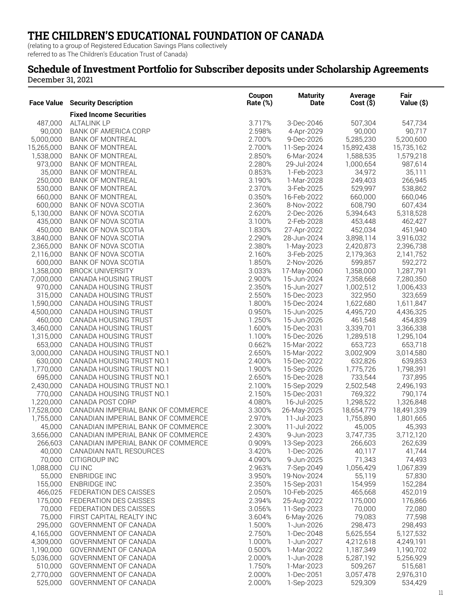(relating to a group of Registered Education Savings Plans collectively referred to as The Children's Education Trust of Canada)

### **Schedule of Investment Portfolio for Subscriber deposits under Scholarship Agreements**

December 31, 2021

| <b>Face Value</b> | <b>Security Description</b>                                              | Coupon<br>Rate (%) | <b>Maturity</b><br>Date   | Average<br>Cost(S)   | Fair<br>Value (\$) |
|-------------------|--------------------------------------------------------------------------|--------------------|---------------------------|----------------------|--------------------|
|                   | <b>Fixed Income Securities</b>                                           |                    |                           |                      |                    |
| 487,000           | <b>ALTALINK LP</b>                                                       | 3.717%             | 3-Dec-2046                | 507,304              | 547,734            |
| 90,000            | BANK OF AMERICA CORP                                                     | 2.598%             | 4-Apr-2029                | 90,000               | 90,717             |
| 5,000,000         | <b>BANK OF MONTREAL</b>                                                  | 2.700%             | 9-Dec-2026                | 5,285,230            | 5,200,600          |
| 15,265,000        | <b>BANK OF MONTREAL</b>                                                  | 2.700%             | 11-Sep-2024               | 15,892,438           | 15,735,162         |
| 1,538,000         | BANK OF MONTREAL                                                         | 2.850%             | 6-Mar-2024                | 1,588,535            | 1,579,218          |
| 973,000           | <b>BANK OF MONTREAL</b>                                                  | 2.280%             | 29-Jul-2024               | 1,000,654            | 987,614            |
| 35,000            | <b>BANK OF MONTREAL</b>                                                  | 0.853%             | 1-Feb-2023                | 34,972               | 35,111             |
| 250,000           | <b>BANK OF MONTREAL</b>                                                  | 3.190%             | 1-Mar-2028                | 249,403              | 266,945            |
| 530,000           | <b>BANK OF MONTREAL</b>                                                  | 2.370%             | 3-Feb-2025                | 529,997              | 538,862            |
| 660,000           | <b>BANK OF MONTREAL</b>                                                  | 0.350%             | 16-Feb-2022               | 660,000              | 660,046            |
| 600,000           | BANK OF NOVA SCOTIA                                                      | 2.360%             | 8-Nov-2022                | 608,790              | 607,434            |
| 5,130,000         | BANK OF NOVA SCOTIA                                                      | 2.620%             | 2-Dec-2026                | 5,394,643            | 5,318,528          |
| 435,000           | BANK OF NOVA SCOTIA                                                      | 3.100%             | 2-Feb-2028                | 453,448              | 462,427            |
| 450,000           | BANK OF NOVA SCOTIA                                                      | 1.830%             | 27-Apr-2022               | 452,034              | 451,940            |
| 3,840,000         | BANK OF NOVA SCOTIA                                                      | 2.290%             | 28-Jun-2024               | 3,898,114            | 3,916,032          |
| 2,365,000         | BANK OF NOVA SCOTIA                                                      | 2.380%             | 1-May-2023                | 2,420,873            | 2,396,738          |
| 2,116,000         | BANK OF NOVA SCOTIA                                                      | 2.160%             | 3-Feb-2025                | 2,179,363            | 2,141,752          |
| 600,000           | BANK OF NOVA SCOTIA                                                      | 1.850%             | 2-Nov-2026                | 599,857              | 592,272            |
| 1,358,000         | <b>BROCK UNIVERSITY</b>                                                  | 3.033%             | 17-May-2060               | 1,358,000            | 1,287,791          |
| 7,000,000         | CANADA HOUSING TRUST                                                     | 2.900%             | 15-Jun-2024               | 7,358,668            | 7,280,350          |
| 970,000           | CANADA HOUSING TRUST                                                     | 2.350%             | 15-Jun-2027               | 1,002,512            | 1,006,433          |
| 315,000           | CANADA HOUSING TRUST                                                     | 2.550%             | 15-Dec-2023               | 322,950              | 323,659            |
| 1,590,000         | CANADA HOUSING TRUST                                                     | 1.800%             | 15-Dec-2024               | 1,622,680            | 1,611,847          |
| 4,500,000         | CANADA HOUSING TRUST                                                     | 0.950%             | 15-Jun-2025               | 4,495,720            | 4,436,325          |
| 460,000           | CANADA HOUSING TRUST                                                     | 1.250%             | 15-Jun-2026               | 461,548              | 454,839            |
| 3,460,000         | CANADA HOUSING TRUST                                                     | 1.600%             | 15-Dec-2031               | 3,339,701            | 3,366,338          |
| 1,315,000         | CANADA HOUSING TRUST                                                     | 1.100%             | 15-Dec-2026               | 1,289,518            | 1,295,104          |
| 653,000           | CANADA HOUSING TRUST                                                     | 0.662%             | 15-Mar-2022               | 653,723              | 653,718            |
| 3,000,000         | CANADA HOUSING TRUST NO.1                                                | 2.650%             | 15-Mar-2022               | 3,002,909            | 3,014,580          |
| 630,000           | CANADA HOUSING TRUST NO.1                                                | 2.400%             | 15-Dec-2022               | 632,826              | 639,853            |
| 1,770,000         | CANADA HOUSING TRUST NO.1                                                | 1.900%             | 15-Sep-2026               | 1,775,726            | 1,798,391          |
| 695,000           | CANADA HOUSING TRUST NO.1                                                | 2.650%             | 15-Dec-2028               | 733,544              | 737,895            |
| 2,430,000         | CANADA HOUSING TRUST NO.1                                                | 2.100%             | 15-Sep-2029               | 2,502,548            | 2,496,193          |
| 770,000           | CANADA HOUSING TRUST NO.1                                                | 2.150%             | 15-Dec-2031               | 769,322              | 790,174            |
| 1,220,000         | CANADA POST CORP                                                         | 4.080%             | 16-Jul-2025               | 1,298,522            | 1,326,848          |
| 17,528,000        | CANADIAN IMPERIAL BANK OF COMMERCE                                       | 3.300%             | 26-May-2025               | 18,654,779           | 18,491,339         |
| 1,755,000         | CANADIAN IMPERIAL BANK OF COMMERCE                                       | 2.970%             | 11-Jul-2023               | 1,755,890            | 1,801,665          |
| 45,000            | CANADIAN IMPERIAL BANK OF COMMERCE                                       | 2.300%             | 11-Jul-2022               | 45,005               | 45,393             |
| 3,656,000         | CANADIAN IMPERIAL BANK OF COMMERCE<br>CANADIAN IMPERIAL BANK OF COMMERCE | 2.430%             | 9-Jun-2023                | 3,747,735<br>266,603 | 3,712,120          |
| 266,603<br>40,000 | CANADIAN NATL RESOURCES                                                  | 0.909%<br>3.420%   | 13-Sep-2023<br>1-Dec-2026 | 40,117               | 262,639<br>41,744  |
| 70,000            | CITIGROUP INC                                                            | 4.090%             | 9-Jun-2025                | 71,343               | 74,493             |
| 1,088,000         | CU INC                                                                   | 2.963%             | 7-Sep-2049                | 1,056,429            | 1,067,839          |
| 55,000            | <b>ENBRIDGE INC</b>                                                      | 3.950%             | 19-Nov-2024               | 55,119               | 57,830             |
| 155,000           | <b>ENBRIDGE INC</b>                                                      | 2.350%             | 15-Sep-2031               | 154,959              | 152,284            |
| 466,025           | FEDERATION DES CAISSES                                                   | 2.050%             | 10-Feb-2025               | 465,668              | 452,019            |
| 175,000           | FEDERATION DES CAISSES                                                   | 2.394%             | 25-Aug-2022               | 175,000              | 176,866            |
| 70,000            | FEDERATION DES CAISSES                                                   | 3.056%             | 11-Sep-2023               | 70,000               | 72,080             |
| 75,000            | FIRST CAPITAL REALTY INC                                                 | 3.604%             | 6-May-2026                | 79,083               | 77,598             |
| 295,000           | GOVERNMENT OF CANADA                                                     | 1.500%             | 1-Jun-2026                | 298,473              | 298,493            |
| 4,165,000         | GOVERNMENT OF CANADA                                                     | 2.750%             | 1-Dec-2048                | 5,625,554            | 5,127,532          |
| 4,309,000         | GOVERNMENT OF CANADA                                                     | 1.000%             | 1-Jun-2027                | 4,212,618            | 4,249,191          |
| 1,190,000         | GOVERNMENT OF CANADA                                                     | 0.500%             | 1-Mar-2022                | 1,187,349            | 1,190,702          |
| 5,036,000         | GOVERNMENT OF CANADA                                                     | 2.000%             | 1-Jun-2028                | 5,287,192            | 5,256,929          |
| 510,000           | GOVERNMENT OF CANADA                                                     | 1.750%             | 1-Mar-2023                | 509,267              | 515,681            |
| 2,770,000         | GOVERNMENT OF CANADA                                                     | 2.000%             | 1-Dec-2051                | 3,057,478            | 2,976,310          |
| 525,000           | GOVERNMENT OF CANADA                                                     | 2.000%             | 1-Sep-2023                | 529,309              | 534,429            |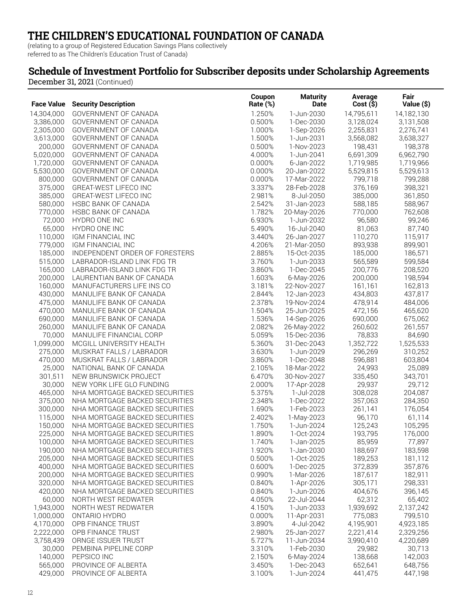(relating to a group of Registered Education Savings Plans collectively referred to as The Children's Education Trust of Canada)

### **Schedule of Investment Portfolio for Subscriber deposits under Scholarship Agreements**

|                      |                                                      | Coupon           | <b>Maturity</b>          | Average           | Fair                 |
|----------------------|------------------------------------------------------|------------------|--------------------------|-------------------|----------------------|
| <b>Face Value</b>    | <b>Security Description</b>                          | Rate (%)         | Date                     | $Cost($ \$)       | Value (\$)           |
| 14,304,000           | GOVERNMENT OF CANADA                                 | 1.250%           | 1-Jun-2030               | 14,795,611        | 14,182,130           |
| 3,386,000            | GOVERNMENT OF CANADA                                 | 0.500%           | 1-Dec-2030               | 3,128,024         | 3,131,508            |
| 2,305,000            | GOVERNMENT OF CANADA                                 | 1.000%           | 1-Sep-2026               | 2,255,831         | 2,276,741            |
| 3,613,000            | GOVERNMENT OF CANADA                                 | 1.500%           | 1-Jun-2031               | 3,568,082         | 3,638,327            |
| 200,000              | GOVERNMENT OF CANADA                                 | 0.500%           | 1-Nov-2023               | 198,431           | 198,378              |
| 5,020,000            | GOVERNMENT OF CANADA                                 | 4.000%           | 1-Jun-2041               | 6,691,309         | 6,962,790            |
| 1,720,000            | GOVERNMENT OF CANADA                                 | 0.000%           | 6-Jan-2022               | 1,719,985         | 1,719,966            |
| 5,530,000            | GOVERNMENT OF CANADA                                 | 0.000%           | 20-Jan-2022              | 5,529,815         | 5,529,613            |
| 800,000              | GOVERNMENT OF CANADA                                 | 0.000%           | 17-Mar-2022              | 799,718           | 799,288              |
| 375,000              | <b>GREAT-WEST LIFECO INC</b>                         | 3.337%           | 28-Feb-2028              | 376,169           | 398,321              |
| 385,000              | GREAT-WEST LIFECO INC                                | 2.981%           | 8-Jul-2050               | 385,000           | 361,850              |
| 580,000              | HSBC BANK OF CANADA                                  | 2.542%           | 31-Jan-2023              | 588,185           | 588,967              |
| 770,000              | HSBC BANK OF CANADA                                  | 1.782%           | 20-May-2026              | 770,000           | 762,608              |
| 72,000               | HYDRO ONE INC                                        | 6.930%           | 1-Jun-2032               | 96,580            | 99,246               |
| 65,000               | HYDRO ONE INC                                        | 5.490%           | 16-Jul-2040              | 81,063            | 87,740               |
| 110,000              | IGM FINANCIAL INC                                    | 3.440%           | 26-Jan-2027              | 110,270           | 115,917              |
| 779,000              | IGM FINANCIAL INC                                    | 4.206%           | 21-Mar-2050              | 893,938           | 899,901              |
| 185,000              | INDEPENDENT ORDER OF FORESTERS                       | 2.885%           | 15-Oct-2035              | 185,000           | 186,571              |
| 515,000              | LABRADOR-ISLAND LINK FDG TR                          | 3.760%           | 1-Jun-2033               | 565,589           | 599,584              |
| 165,000              | LABRADOR-ISLAND LINK FDG TR                          | 3.860%           | 1-Dec-2045               | 200,776           | 208,520              |
| 200,000              | LAURENTIAN BANK OF CANADA                            | 1.603%           | 6-May-2026               | 200,000           | 198,594              |
| 160,000              | MANUFACTURERS LIFE INS CO                            | 3.181%           | 22-Nov-2027              | 161,161           | 162,813              |
| 430,000              | MANULIFE BANK OF CANADA                              | 2.844%           | 12-Jan-2023              | 434,803           | 437,817              |
| 475,000              | MANULIFE BANK OF CANADA                              | 2.378%           | 19-Nov-2024              | 478,914           | 484,006              |
| 470,000              | MANULIFE BANK OF CANADA                              | 1.504%           | 25-Jun-2025              | 472,156           | 465,620              |
| 690,000              | MANULIFE BANK OF CANADA                              | 1.536%           | 14-Sep-2026              | 690,000           | 675,062              |
| 260,000              | MANULIFE BANK OF CANADA                              | 2.082%           | 26-May-2022              | 260,602<br>78,833 | 261,557              |
| 70,000               | MANULIFE FINANCIAL CORP                              | 5.059%           | 15-Dec-2036              | 1,352,722         | 84,690               |
| 1,099,000<br>275,000 | MCGILL UNIVERSITY HEALTH                             | 5.360%<br>3.630% | 31-Dec-2043              | 296,269           | 1,525,533<br>310,252 |
| 470,000              | MUSKRAT FALLS / LABRADOR<br>MUSKRAT FALLS / LABRADOR | 3.860%           | 1-Jun-2029<br>1-Dec-2048 | 596,881           | 603,804              |
| 25,000               | NATIONAL BANK OF CANADA                              | 2.105%           | 18-Mar-2022              | 24,993            | 25,089               |
| 301,511              | NEW BRUNSWICK PROJECT                                | 6.470%           | 30-Nov-2027              | 335,450           | 343,701              |
| 30,000               | NEW YORK LIFE GLO FUNDING                            | 2.000%           | 17-Apr-2028              | 29,937            | 29,712               |
| 465,000              | NHA MORTGAGE BACKED SECURITIES                       | 5.375%           | 1-Jul-2028               | 308,028           | 204,087              |
| 375,000              | NHA MORTGAGE BACKED SECURITIES                       | 2.348%           | 1-Dec-2022               | 357,063           | 284,350              |
| 300,000              | NHA MORTGAGE BACKED SECURITIES                       | 1.690%           | 1-Feb-2023               | 261,141           | 176,054              |
| 115,000              | NHA MORTGAGE BACKED SECURITIES                       | 2.402%           | 1-May-2023               | 96,170            | 61,114               |
| 150,000              | NHA MORTGAGE BACKED SECURITIES                       | 1.750%           | 1-Jun-2024               | 125,243           | 105,295              |
| 225,000              | NHA MORTGAGE BACKED SECURITIES                       | 1.890%           | 1-Oct-2024               | 193,795           | 176,000              |
| 100,000              | NHA MORTGAGE BACKED SECURITIES                       | 1.740%           | 1-Jan-2025               | 85,959            | 77,897               |
| 190,000              | NHA MORTGAGE BACKED SECURITIES                       | 1.920%           | 1-Jan-2030               | 188,697           | 183,598              |
| 205,000              | NHA MORTGAGE BACKED SECURITIES                       | 0.500%           | 1-Oct-2025               | 189,253           | 181,112              |
| 400,000              | NHA MORTGAGE BACKED SECURITIES                       | 0.600%           | 1-Dec-2025               | 372,839           | 357,876              |
| 200,000              | NHA MORTGAGE BACKED SECURITIES                       | 0.990%           | 1-Mar-2026               | 187,617           | 182,911              |
| 320,000              | NHA MORTGAGE BACKED SECURITIES                       | 0.840%           | 1-Apr-2026               | 305,171           | 298,331              |
| 420,000              | NHA MORTGAGE BACKED SECURITIES                       | 0.840%           | 1-Jun-2026               | 404,676           | 396,145              |
| 60,000               | NORTH WEST REDWATER                                  | 4.050%           | 22-Jul-2044              | 62,312            | 65,402               |
| 1,943,000            | NORTH WEST REDWATER                                  | 4.150%           | 1-Jun-2033               | 1,939,692         | 2,137,242            |
| 1,000,000            | ONTARIO HYDRO                                        | 0.000%           | 11-Apr-2031              | 775,083           | 799,510              |
| 4,170,000            | OPB FINANCE TRUST                                    | 3.890%           | 4-Jul-2042               | 4,195,901         | 4,923,185            |
| 2,222,000            | OPB FINANCE TRUST                                    | 2.980%           | 25-Jan-2027              | 2,221,414         | 2,329,256            |
| 3,758,439            | ORNGE ISSUER TRUST                                   | 5.727%           | 11-Jun-2034              | 3,990,410         | 4,220,689            |
| 30,000               | PEMBINA PIPELINE CORP                                | 3.310%           | 1-Feb-2030               | 29,982            | 30,713               |
| 140,000              | PEPSICO INC                                          | 2.150%           | 6-May-2024               | 138,668           | 142,003              |
| 565,000              | PROVINCE OF ALBERTA                                  | 3.450%           | 1-Dec-2043               | 652,641           | 648,756              |
| 429,000              | PROVINCE OF ALBERTA                                  | 3.100%           | 1-Jun-2024               | 441,475           | 447,198              |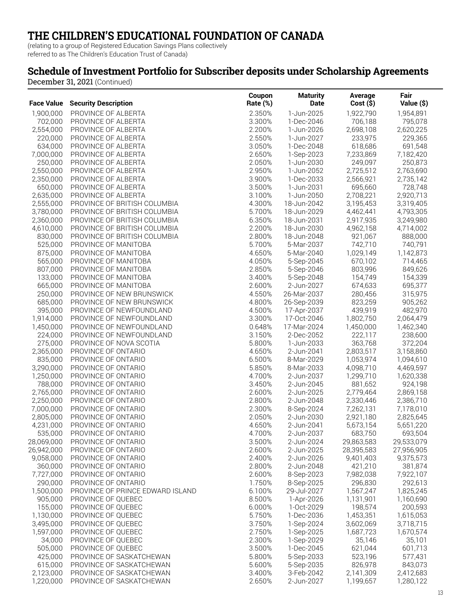(relating to a group of Registered Education Savings Plans collectively referred to as The Children's Education Trust of Canada)

### **Schedule of Investment Portfolio for Subscriber deposits under Scholarship Agreements**

|                        |                                            | Coupon           | <b>Maturity</b>          | Average                | Fair                   |
|------------------------|--------------------------------------------|------------------|--------------------------|------------------------|------------------------|
| <b>Face Value</b>      | <b>Security Description</b>                | Rate (%)         | Date                     | $Cost($ \$)            | Value (\$)             |
| 1,900,000              | PROVINCE OF ALBERTA                        | 2.350%           | 1-Jun-2025               | 1,922,790              | 1,954,891              |
| 702,000                | PROVINCE OF ALBERTA                        | 3.300%           | 1-Dec-2046               | 706,188                | 795,078                |
| 2,554,000              | PROVINCE OF ALBERTA                        | 2.200%           | 1-Jun-2026               | 2,698,108              | 2,620,225              |
| 220,000                | PROVINCE OF ALBERTA                        | 2.550%           | 1-Jun-2027               | 233,975                | 229,365                |
| 634,000                | PROVINCE OF ALBERTA                        | 3.050%           | 1-Dec-2048               | 618,686                | 691,548                |
| 7,000,000              | PROVINCE OF ALBERTA                        | 2.650%           | 1-Sep-2023               | 7,233,869              | 7,182,420              |
| 250,000                | PROVINCE OF ALBERTA                        | 2.050%           | 1-Jun-2030               | 249,097                | 250,873                |
| 2,550,000              | PROVINCE OF ALBERTA                        | 2.950%           | 1-Jun-2052               | 2,725,512              | 2,763,690              |
| 2,350,000              | PROVINCE OF ALBERTA                        | 3.900%           | 1-Dec-2033               | 2,566,921              | 2,735,142              |
| 650,000                | PROVINCE OF ALBERTA                        | 3.500%           | 1-Jun-2031               | 695,660                | 728,748                |
| 2,635,000              | PROVINCE OF ALBERTA                        | 3.100%           | 1-Jun-2050               | 2,708,221              | 2,920,713              |
| 2,555,000              | PROVINCE OF BRITISH COLUMBIA               | 4.300%           | 18-Jun-2042              | 3,195,453              | 3,319,405              |
| 3,780,000              | PROVINCE OF BRITISH COLUMBIA               | 5.700%           | 18-Jun-2029              | 4,462,441              | 4,793,305              |
| 2,360,000              | PROVINCE OF BRITISH COLUMBIA               | 6.350%           | 18-Jun-2031              | 2,917,935              | 3,249,980              |
| 4,610,000              | PROVINCE OF BRITISH COLUMBIA               | 2.200%           | 18-Jun-2030              | 4,962,158              | 4,714,002              |
| 830,000                | PROVINCE OF BRITISH COLUMBIA               | 2.800%           | 18-Jun-2048              | 921,067                | 888,000                |
| 525,000                | PROVINCE OF MANITOBA                       | 5.700%           | 5-Mar-2037               | 742,710                | 740,791                |
| 875,000                | PROVINCE OF MANITOBA                       | 4.650%           | 5-Mar-2040               | 1,029,149              | 1,142,873              |
| 565,000                | PROVINCE OF MANITOBA                       | 4.050%           | 5-Sep-2045               | 670,102                | 714,465                |
| 807,000                | PROVINCE OF MANITOBA                       | 2.850%           | 5-Sep-2046               | 803,996                | 849,626                |
| 133,000                | PROVINCE OF MANITOBA                       | 3.400%           | 5-Sep-2048               | 154,749                | 154,339                |
| 665,000                | PROVINCE OF MANITOBA                       | 2.600%           | 2-Jun-2027               | 674,633                | 695,377                |
| 250,000                | PROVINCE OF NEW BRUNSWICK                  | 4.550%           | 26-Mar-2037              | 280,456                | 315,975                |
| 685,000                | PROVINCE OF NEW BRUNSWICK                  | 4.800%           | 26-Sep-2039              | 823,259                | 905,262                |
| 395,000                | PROVINCE OF NEWFOUNDLAND                   | 4.500%           | 17-Apr-2037              | 439,919                | 482,970                |
| 1,914,000              | PROVINCE OF NEWFOUNDLAND                   | 3.300%           | 17-Oct-2046              | 1,802,750              | 2,064,479              |
| 1,450,000              | PROVINCE OF NEWFOUNDLAND                   | 0.648%           | 17-Mar-2024              | 1,450,000              | 1,462,340              |
| 224,000                | PROVINCE OF NEWFOUNDLAND                   | 3.150%           | 2-Dec-2052               | 222,117                | 238,600                |
| 275,000                | PROVINCE OF NOVA SCOTIA                    | 5.800%           | 1-Jun-2033               | 363,768                | 372,204                |
| 2,365,000              | PROVINCE OF ONTARIO                        | 4.650%           | 2-Jun-2041               | 2,803,517              | 3,158,860              |
| 835,000                | PROVINCE OF ONTARIO                        | 6.500%           | 8-Mar-2029               | 1,053,974              | 1,094,610              |
| 3,290,000              | PROVINCE OF ONTARIO                        | 5.850%           | 8-Mar-2033               | 4,098,710              | 4,469,597              |
| 1,250,000              | PROVINCE OF ONTARIO                        | 4.700%           | 2-Jun-2037               | 1,299,710              | 1,620,338              |
| 788,000                | PROVINCE OF ONTARIO                        | 3.450%           | 2-Jun-2045               | 881,652                | 924,198                |
| 2,765,000              | PROVINCE OF ONTARIO                        | 2.600%           | 2-Jun-2025               | 2,779,464              | 2,869,158              |
| 2,250,000<br>7,000,000 | PROVINCE OF ONTARIO                        | 2.800%           | 2-Jun-2048               | 2,330,446              | 2,386,710              |
| 2,805,000              | PROVINCE OF ONTARIO                        | 2.300%<br>2.050% | 8-Sep-2024<br>2-Jun-2030 | 7,262,131<br>2,921,180 | 7,178,010<br>2,825,645 |
| 4,231,000              | PROVINCE OF ONTARIO<br>PROVINCE OF ONTARIO | 4.650%           | 2-Jun-2041               | 5,673,154              | 5,651,220              |
| 535,000                | PROVINCE OF ONTARIO                        | 4.700%           | 2-Jun-2037               | 683,750                | 693,504                |
| 28,069,000             | PROVINCE OF ONTARIO                        | 3.500%           | 2-Jun-2024               | 29,863,583             | 29,533,079             |
| 26,942,000             | PROVINCE OF ONTARIO                        | 2.600%           | 2-Jun-2025               | 28,395,583             | 27,956,905             |
| 9,058,000              | PROVINCE OF ONTARIO                        | 2.400%           | 2-Jun-2026               | 9,401,403              | 9,375,573              |
| 360,000                | PROVINCE OF ONTARIO                        | 2.800%           | 2-Jun-2048               | 421,210                | 381,874                |
| 7,727,000              | PROVINCE OF ONTARIO                        | 2.600%           | 8-Sep-2023               | 7,982,038              | 7,922,107              |
| 290,000                | PROVINCE OF ONTARIO                        | 1.750%           | 8-Sep-2025               | 296,830                | 292,613                |
| 1,500,000              | PROVINCE OF PRINCE EDWARD ISLAND           | 6.100%           | 29-Jul-2027              | 1,567,247              | 1,825,245              |
| 905,000                | PROVINCE OF QUEBEC                         | 8.500%           | 1-Apr-2026               | 1,131,901              | 1,160,690              |
| 155,000                | PROVINCE OF QUEBEC                         | 6.000%           | 1-Oct-2029               | 198,574                | 200,593                |
| 1,130,000              | PROVINCE OF QUEBEC                         | 5.750%           | 1-Dec-2036               | 1,453,351              | 1,615,053              |
| 3,495,000              | PROVINCE OF QUEBEC                         | 3.750%           | 1-Sep-2024               | 3,602,069              | 3,718,715              |
| 1,597,000              | PROVINCE OF QUEBEC                         | 2.750%           | 1-Sep-2025               | 1,687,723              | 1,670,574              |
| 34,000                 | PROVINCE OF QUEBEC                         | 2.300%           | 1-Sep-2029               | 35,146                 | 35,101                 |
| 505,000                | PROVINCE OF QUEBEC                         | 3.500%           | 1-Dec-2045               | 621,044                | 601,713                |
| 425,000                | PROVINCE OF SASKATCHEWAN                   | 5.800%           | 5-Sep-2033               | 523,196                | 577,431                |
| 615,000                | PROVINCE OF SASKATCHEWAN                   | 5.600%           | 5-Sep-2035               | 826,978                | 843,073                |
| 2,123,000              | PROVINCE OF SASKATCHEWAN                   | 3.400%           | 3-Feb-2042               | 2,141,309              | 2,412,683              |
| 1,220,000              | PROVINCE OF SASKATCHEWAN                   | 2.650%           | 2-Jun-2027               | 1,199,657              | 1,280,122              |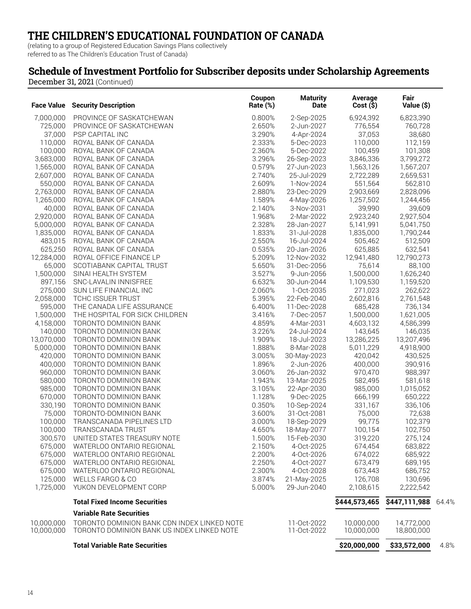(relating to a group of Registered Education Savings Plans collectively referred to as The Children's Education Trust of Canada)

### **Schedule of Investment Portfolio for Subscriber deposits under Scholarship Agreements**

| <b>Face Value</b>        | <b>Security Description</b>                                                               | Coupon<br>Rate (%) | <b>Maturity</b><br>Date    | Average<br>Cost(S)       | Fair<br>Value (\$)       |       |
|--------------------------|-------------------------------------------------------------------------------------------|--------------------|----------------------------|--------------------------|--------------------------|-------|
| 7,000,000                | PROVINCE OF SASKATCHEWAN                                                                  | 0.800%             | 2-Sep-2025                 | 6,924,392                | 6,823,390                |       |
| 725,000                  | PROVINCE OF SASKATCHEWAN                                                                  | 2.650%             | 2-Jun-2027                 | 776,554                  | 760,728                  |       |
| 37,000                   | PSP CAPITAL INC                                                                           | 3.290%             | 4-Apr-2024                 | 37,053                   | 38,680                   |       |
| 110,000                  | ROYAL BANK OF CANADA                                                                      | 2.333%             | 5-Dec-2023                 | 110,000                  | 112,159                  |       |
| 100,000                  | ROYAL BANK OF CANADA                                                                      | 2.360%             | 5-Dec-2022                 | 100,459                  | 101,308                  |       |
| 3,683,000                | ROYAL BANK OF CANADA                                                                      | 3.296%             | 26-Sep-2023                | 3,846,336                | 3,799,272                |       |
| 1,565,000                | ROYAL BANK OF CANADA                                                                      | 0.579%             | 27-Jun-2023                | 1,563,126                | 1,567,207                |       |
| 2,607,000                | ROYAL BANK OF CANADA                                                                      | 2.740%             | 25-Jul-2029                | 2,722,289                | 2,659,531                |       |
| 550,000                  | ROYAL BANK OF CANADA                                                                      | 2.609%             | 1-Nov-2024                 | 551,564                  | 562,810                  |       |
| 2,763,000                | ROYAL BANK OF CANADA                                                                      | 2.880%             | 23-Dec-2029                | 2,903,669                | 2,828,096                |       |
| 1,265,000                | ROYAL BANK OF CANADA                                                                      | 1.589%             | 4-May-2026                 | 1,257,502                | 1,244,456                |       |
| 40,000                   | ROYAL BANK OF CANADA                                                                      | 2.140%             | 3-Nov-2031                 | 39,990                   | 39,609                   |       |
| 2,920,000                | ROYAL BANK OF CANADA                                                                      | 1.968%             | 2-Mar-2022                 | 2,923,240                | 2,927,504                |       |
| 5,000,000                | ROYAL BANK OF CANADA                                                                      | 2.328%             | 28-Jan-2027                | 5,141,991                | 5,041,750                |       |
| 1,835,000                | ROYAL BANK OF CANADA                                                                      | 1.833%             | 31-Jul-2028                | 1,835,000                | 1,790,244                |       |
| 483,015                  | ROYAL BANK OF CANADA                                                                      | 2.550%             | 16-Jul-2024                | 505,462                  | 512,509                  |       |
| 625,250                  | ROYAL BANK OF CANADA                                                                      | 0.535%             | 20-Jan-2026                | 625,885                  | 632,541                  |       |
| 12,284,000               | ROYAL OFFICE FINANCE LP                                                                   | 5.209%             | 12-Nov-2032                | 12,941,480               | 12,790,273               |       |
| 65,000                   | SCOTIABANK CAPITAL TRUST                                                                  | 5.650%             | 31-Dec-2056                | 75,614                   | 88,100                   |       |
| 1,500,000                | SINAI HEALTH SYSTEM                                                                       | 3.527%             | 9-Jun-2056                 | 1,500,000                | 1,626,240                |       |
| 897,156                  | SNC-LAVALIN INNISFREE                                                                     | 6.632%             | 30-Jun-2044                | 1,109,530                | 1,159,520                |       |
| 275,000                  | SUN LIFE FINANCIAL INC                                                                    | 2.060%             | 1-Oct-2035                 | 271,023                  | 262,622                  |       |
| 2,058,000                | TCHC ISSUER TRUST                                                                         | 5.395%             | 22-Feb-2040                | 2,602,816                | 2,761,548                |       |
| 595,000                  | THE CANADA LIFE ASSURANCE                                                                 | 6.400%             | 11-Dec-2028                | 685,428                  | 736,134                  |       |
| 1,500,000                | THE HOSPITAL FOR SICK CHILDREN                                                            | 3.416%             | 7-Dec-2057                 | 1,500,000                | 1,621,005                |       |
| 4,158,000                | TORONTO DOMINION BANK                                                                     | 4.859%             | 4-Mar-2031                 | 4,603,132                | 4,586,399                |       |
| 140,000                  | TORONTO DOMINION BANK                                                                     | 3.226%             | 24-Jul-2024                | 143,645                  | 146,035                  |       |
| 13,070,000               | TORONTO DOMINION BANK                                                                     | 1.909%             | 18-Jul-2023                | 13,286,225               | 13,207,496               |       |
| 5,000,000                | TORONTO DOMINION BANK                                                                     | 1.888%             | 8-Mar-2028                 | 5,011,229                | 4,918,900                |       |
| 420,000<br>400,000       | TORONTO DOMINION BANK<br>TORONTO DOMINION BANK                                            | 3.005%<br>1.896%   | 30-May-2023<br>2-Jun-2026  | 420,042<br>400,000       | 430,525                  |       |
| 960,000                  | TORONTO DOMINION BANK                                                                     | 3.060%             | 26-Jan-2032                | 970,470                  | 390,916<br>988,397       |       |
| 580,000                  | TORONTO DOMINION BANK                                                                     | 1.943%             | 13-Mar-2025                | 582,495                  | 581,618                  |       |
| 985,000                  | TORONTO DOMINION BANK                                                                     | 3.105%             | 22-Apr-2030                | 985,000                  | 1,015,052                |       |
| 670,000                  | TORONTO DOMINION BANK                                                                     | 1.128%             | 9-Dec-2025                 | 666,199                  | 650,222                  |       |
| 330,190                  | TORONTO DOMINION BANK                                                                     | 0.350%             | 10-Sep-2024                | 331,167                  | 336,106                  |       |
| 75,000                   | TORONTO-DOMINION BANK                                                                     | 3.600%             | 31-Oct-2081                | 75,000                   | 72,638                   |       |
| 100,000                  | TRANSCANADA PIPELINES LTD                                                                 | 3.000%             | 18-Sep-2029                | 99,775                   | 102,379                  |       |
| 100,000                  | TRANSCANADA TRUST                                                                         | 4.650%             | 18-May-2077                | 100,154                  | 102,750                  |       |
| 300,570                  | UNITED STATES TREASURY NOTE                                                               | 1.500%             | 15-Feb-2030                | 319,220                  | 275,124                  |       |
| 675,000                  | WATERLOO ONTARIO REGIONAL                                                                 | 2.150%             | 4-Oct-2025                 | 674,454                  | 683,822                  |       |
| 675,000                  | WATERLOO ONTARIO REGIONAL                                                                 | 2.200%             | 4-Oct-2026                 | 674,022                  | 685,922                  |       |
| 675,000                  | WATERLOO ONTARIO REGIONAL                                                                 | 2.250%             | 4-Oct-2027                 | 673,479                  | 689,195                  |       |
| 675,000                  | WATERLOO ONTARIO REGIONAL                                                                 | 2.300%             | 4-Oct-2028                 | 673,443                  | 686,752                  |       |
| 125,000                  | WELLS FARGO & CO                                                                          | 3.874%             | 21-May-2025                | 126,708                  | 130,696                  |       |
| 1,725,000                | YUKON DEVELOPMENT CORP                                                                    | 5.000%             | 29-Jun-2040                | 2,108,615                | 2,222,542                |       |
|                          | <b>Total Fixed Income Securities</b>                                                      |                    |                            | \$444,573,465            | \$447,111,988            | 64.4% |
|                          | <b>Variable Rate Securities</b>                                                           |                    |                            |                          |                          |       |
| 10.000.000<br>10,000,000 | TORONTO DOMINION BANK CDN INDEX LINKED NOTE<br>TORONTO DOMINION BANK US INDEX LINKED NOTE |                    | 11-Oct-2022<br>11-Oct-2022 | 10,000,000<br>10,000,000 | 14,772,000<br>18,800,000 |       |
|                          | <b>Total Variable Rate Securities</b>                                                     |                    |                            | \$20,000,000             | \$33,572,000             | 4.8%  |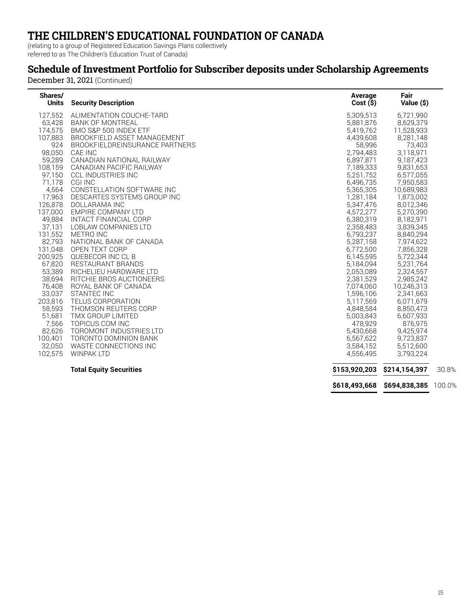(relating to a group of Registered Education Savings Plans collectively referred to as The Children's Education Trust of Canada)

### **Schedule of Investment Portfolio for Subscriber deposits under Scholarship Agreements**

| Shares/<br>Units | <b>Security Description</b>    | Average<br>Cost(S) | Fair<br>Value (\$)                 |       |
|------------------|--------------------------------|--------------------|------------------------------------|-------|
| 127,552          | ALIMENTATION COUCHE-TARD       | 5,309,513          | 6,721,990                          |       |
| 63,428           | <b>BANK OF MONTREAL</b>        | 5,881,876          | 8,629,379                          |       |
| 174,575          | BMO S&P 500 INDEX ETF          | 5,419,762          | 11,528,933                         |       |
| 107,883          | BROOKFIELD ASSET MANAGEMENT    | 4,439,608          | 8,281,148                          |       |
| 924              | BROOKFIELDREINSURANCE PARTNERS | 58,996             | 73,403                             |       |
| 98,050           | CAE INC                        | 2,794,483          | 3,118,971                          |       |
| 59,289           | CANADIAN NATIONAL RAILWAY      | 6,897,871          | 9,187,423                          |       |
| 108,159          | CANADIAN PACIFIC RAILWAY       | 7,189,333          | 9,831,653                          |       |
| 97,150           | <b>CCL INDUSTRIES INC</b>      | 5,251,752          | 6,577,055                          |       |
| 71,178           | <b>CGI INC</b>                 | 6,496,735          | 7,950,583                          |       |
| 4,564            | CONSTELLATION SOFTWARE INC     | 5,365,305          | 10,689,983                         |       |
| 17,963           | DESCARTES SYSTEMS GROUP INC    | 1,281,184          | 1,873,002                          |       |
| 126,878          | DOLLARAMA INC                  | 5,347,476          | 8,012,346                          |       |
| 137.000          | EMPIRE COMPANY LTD             | 4,572,277          | 5,270,390                          |       |
| 49,884           | INTACT FINANCIAL CORP          | 6,380,319          | 8,182,971                          |       |
| 37,131           | LOBLAW COMPANIES LTD           | 2,358,483          | 3,839,345                          |       |
| 131,552          | <b>METRO INC</b>               | 6,793,237          | 8,840,294                          |       |
| 82,793           | NATIONAL BANK OF CANADA        | 5,287,158          | 7,974,622                          |       |
| 131,048          | OPEN TEXT CORP                 | 6,772,500          | 7,856,328                          |       |
| 200.925          | <b>OUEBECOR INC CL B</b>       | 6,145,595          | 5,722,344                          |       |
| 67,820           | <b>RESTAURANT BRANDS</b>       | 5,184,094          | 5,231,764                          |       |
| 53,389           | RICHELIEU HARDWARE LTD         | 2,053,089          | 2,324,557                          |       |
| 38,694           | RITCHIE BROS AUCTIONEERS       | 2,381,529          | 2,985,242                          |       |
| 76,408           | ROYAL BANK OF CANADA           | 7,074,060          | 10,246,313                         |       |
| 33,037           | <b>STANTEC INC</b>             | 1,596,106          | 2,341,663                          |       |
| 203,816          | <b>TELUS CORPORATION</b>       | 5,117,569          | 6,071,679                          |       |
| 58,593           | THOMSON REUTERS CORP           | 4,848,584          | 8,850,473                          |       |
| 51,681           | TMX GROUP LIMITED              | 5,003,843          | 6,607,933                          |       |
| 7,566            | TOPICUS COM INC                | 478,929            | 876,975                            |       |
| 82,626           | TOROMONT INDUSTRIES LTD        | 5,430,668          | 9,425,974                          |       |
| 100,401          | TORONTO DOMINION BANK          | 6,567,622          | 9,723,837                          |       |
| 32,050           | WASTE CONNECTIONS INC          | 3,584,152          | 5,512,600                          |       |
| 102.575          | <b>WINPAK LTD</b>              | 4,556,495          | 3,793,224                          |       |
|                  | <b>Total Equity Securities</b> | \$153,920,203      | \$214,154,397                      | 30.8% |
|                  |                                |                    | \$618,493,668 \$694,838,385 100.0% |       |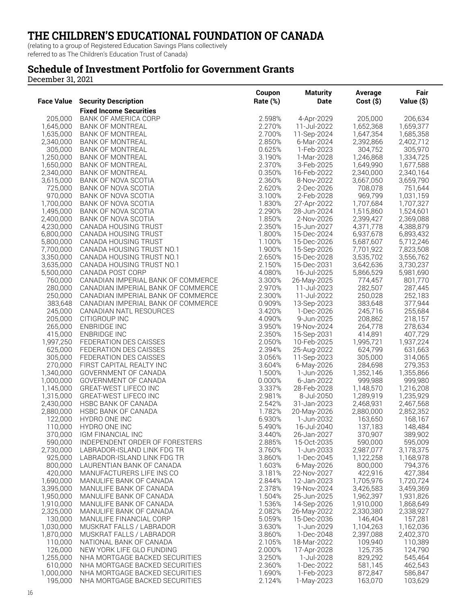(relating to a group of Registered Education Savings Plans collectively referred to as The Children's Education Trust of Canada)

### **Schedule of Investment Portfolio for Government Grants**

December 31, 2021

|                        |                                                      | Coupon           | <b>Maturity</b>            | Average                | Fair                   |
|------------------------|------------------------------------------------------|------------------|----------------------------|------------------------|------------------------|
| <b>Face Value</b>      | <b>Security Description</b>                          | Rate (%)         | Date                       | $Cost($ \$)            | Value (\$)             |
|                        | <b>Fixed Income Securities</b>                       |                  |                            |                        |                        |
| 205,000                | <b>BANK OF AMERICA CORP</b>                          | 2.598%           | 4-Apr-2029                 | 205,000                | 206,634                |
| 1,645,000              | <b>BANK OF MONTREAL</b>                              | 2.270%           | 11-Jul-2022                | 1,652,368              | 1,659,377              |
| 1,635,000              | <b>BANK OF MONTREAL</b><br><b>BANK OF MONTREAL</b>   | 2.700%<br>2.850% | 11-Sep-2024<br>6-Mar-2024  | 1,647,354<br>2,392,866 | 1,685,358              |
| 2,340,000<br>305,000   | <b>BANK OF MONTREAL</b>                              | 0.625%           | 1-Feb-2023                 | 304,752                | 2,402,712<br>305,970   |
| 1,250,000              | <b>BANK OF MONTREAL</b>                              | 3.190%           | 1-Mar-2028                 | 1,246,868              | 1,334,725              |
| 1,650,000              | <b>BANK OF MONTREAL</b>                              | 2.370%           | 3-Feb-2025                 | 1,649,990              | 1,677,588              |
| 2,340,000              | <b>BANK OF MONTREAL</b>                              | 0.350%           | 16-Feb-2022                | 2,340,000              | 2,340,164              |
| 3,615,000              | BANK OF NOVA SCOTIA                                  | 2.360%           | 8-Nov-2022                 | 3,667,050              | 3,659,790              |
| 725.000                | BANK OF NOVA SCOTIA                                  | 2.620%           | 2-Dec-2026                 | 708,078                | 751,644                |
| 970,000                | BANK OF NOVA SCOTIA                                  | 3.100%           | 2-Feb-2028                 | 969,799                | 1,031,159              |
| 1,700,000              | BANK OF NOVA SCOTIA                                  | 1.830%           | 27-Apr-2022                | 1,707,684              | 1,707,327              |
| 1,495,000              | BANK OF NOVA SCOTIA                                  | 2.290%           | 28-Jun-2024                | 1,515,860              | 1,524,601              |
| 2,400,000              | BANK OF NOVA SCOTIA                                  | 1.850%           | 2-Nov-2026                 | 2,399,427              | 2,369,088              |
| 4,230,000              | CANADA HOUSING TRUST                                 | 2.350%           | 15-Jun-2027                | 4,371,778              | 4,388,879              |
| 6,800,000<br>5,800,000 | CANADA HOUSING TRUST<br>CANADA HOUSING TRUST         | 1.800%<br>1.100% | 15-Dec-2024<br>15-Dec-2026 | 6,937,678<br>5,687,607 | 6,893,432<br>5,712,246 |
| 7,700,000              | CANADA HOUSING TRUST NO.1                            | 1.900%           | 15-Sep-2026                | 7,701,922              | 7,823,508              |
| 3,350,000              | CANADA HOUSING TRUST NO.1                            | 2.650%           | 15-Dec-2028                | 3,535,702              | 3,556,762              |
| 3,635,000              | CANADA HOUSING TRUST NO.1                            | 2.150%           | 15-Dec-2031                | 3,642,636              | 3,730,237              |
| 5,500,000              | CANADA POST CORP                                     | 4.080%           | 16-Jul-2025                | 5,866,529              | 5,981,690              |
| 760,000                | CANADIAN IMPERIAL BANK OF COMMERCE                   | 3.300%           | 26-May-2025                | 774,457                | 801,770                |
| 280,000                | CANADIAN IMPERIAL BANK OF COMMERCE                   | 2.970%           | 11-Jul-2023                | 282,507                | 287,445                |
| 250,000                | CANADIAN IMPERIAL BANK OF COMMERCE                   | 2.300%           | 11-Jul-2022                | 250,028                | 252,183                |
| 383,648                | CANADIAN IMPERIAL BANK OF COMMERCE                   | 0.909%           | 13-Sep-2023                | 383,648                | 377,944                |
| 245,000                | CANADIAN NATL RESOURCES                              | 3.420%           | 1-Dec-2026                 | 245,716                | 255,684                |
| 205,000                | CITIGROUP INC                                        | 4.090%           | 9-Jun-2025                 | 208,862                | 218,157                |
| 265,000                | ENBRIDGE INC<br><b>ENBRIDGE INC</b>                  | 3.950%<br>2.350% | 19-Nov-2024                | 264,778<br>414,891     | 278,634<br>407,729     |
| 415,000<br>1,997,250   | FEDERATION DES CAISSES                               | 2.050%           | 15-Sep-2031<br>10-Feb-2025 | 1,995,721              | 1,937,224              |
| 625,000                | FEDERATION DES CAISSES                               | 2.394%           | 25-Aug-2022                | 624,799                | 631,663                |
| 305,000                | FEDERATION DES CAISSES                               | 3.056%           | 11-Sep-2023                | 305,000                | 314,065                |
| 270,000                | FIRST CAPITAL REALTY INC                             | 3.604%           | 6-May-2026                 | 284,698                | 279,353                |
| 1,340,000              | GOVERNMENT OF CANADA                                 | 1.500%           | 1-Jun-2026                 | 1,352,146              | 1,355,866              |
| 1,000,000              | GOVERNMENT OF CANADA                                 | 0.000%           | 6-Jan-2022                 | 999,988                | 999,980                |
| 1,145,000              | <b>GREAT-WEST LIFECO INC</b>                         | 3.337%           | 28-Feb-2028                | 1,148,570              | 1,216,208              |
| 1,315,000              | <b>GREAT-WEST LIFECO INC</b>                         | 2.981%           | 8-Jul-2050                 | 1,289,919              | 1,235,929              |
| 2,430,000              | HSBC BANK OF CANADA                                  | 2.542%           | 31-Jan-2023                | 2,468,931              | 2,467,568              |
| 2,880,000              | HSBC BANK OF CANADA                                  | 1.782%           | 20-May-2026                | 2,880,000              | 2,852,352              |
| 122,000                | HYDRO ONE INC<br>HYDRO ONE INC                       | 6.930%<br>5.490% | 1-Jun-2032                 | 163,650                | 168,167                |
| 110,000<br>370,000     | IGM FINANCIAL INC                                    | 3.440%           | 16-Jul-2040<br>26-Jan-2027 | 137,183<br>370,907     | 148,484<br>389,902     |
| 590,000                | INDEPENDENT ORDER OF FORESTERS                       | 2.885%           | 15-Oct-2035                | 590,000                | 595,009                |
| 2,730,000              | LABRADOR-ISLAND LINK FDG TR                          | 3.760%           | 1-Jun-2033                 | 2,987,077              | 3,178,375              |
| 925,000                | LABRADOR-ISLAND LINK FDG TR                          | 3.860%           | 1-Dec-2045                 | 1,122,258              | 1,168,978              |
| 800,000                | LAURENTIAN BANK OF CANADA                            | 1.603%           | 6-May-2026                 | 800,000                | 794,376                |
| 420,000                | MANUFACTURERS LIFE INS CO                            | 3.181%           | 22-Nov-2027                | 422,916                | 427,384                |
| 1,690,000              | MANULIFE BANK OF CANADA                              | 2.844%           | 12-Jan-2023                | 1,705,976              | 1,720,724              |
| 3,395,000              | MANULIFE BANK OF CANADA                              | 2.378%           | 19-Nov-2024                | 3,426,583              | 3,459,369              |
| 1,950,000              | MANULIFE BANK OF CANADA                              | 1.504%           | 25-Jun-2025                | 1,962,397              | 1,931,826              |
| 1,910,000              | MANULIFE BANK OF CANADA                              | 1.536%           | 14-Sep-2026                | 1,910,000              | 1,868,649              |
| 2,325,000              | MANULIFE BANK OF CANADA<br>MANULIFE FINANCIAL CORP   | 2.082%<br>5.059% | 26-May-2022                | 2,330,380<br>146,404   | 2,338,927              |
| 130,000<br>1,030,000   |                                                      | 3.630%           | 15-Dec-2036<br>1-Jun-2029  |                        | 157,281<br>1,162,036   |
| 1,870,000              | MUSKRAT FALLS / LABRADOR<br>MUSKRAT FALLS / LABRADOR | 3.860%           | 1-Dec-2048                 | 1,104,263<br>2,397,088 | 2,402,370              |
| 110,000                | NATIONAL BANK OF CANADA                              | 2.105%           | 18-Mar-2022                | 109,940                | 110,389                |
| 126,000                | NEW YORK LIFE GLO FUNDING                            | 2.000%           | 17-Apr-2028                | 125,735                | 124,790                |
| 1,255,000              | NHA MORTGAGE BACKED SECURITIES                       | 3.250%           | 1-Jul-2028                 | 829,292                | 545,464                |
| 610,000                | NHA MORTGAGE BACKED SECURITIES                       | 2.360%           | 1-Dec-2022                 | 581,145                | 462,543                |
| 1,000,000              | NHA MORTGAGE BACKED SECURITIES                       | 1.690%           | 1-Feb-2023                 | 872,847                | 586,847                |
| 195,000                | NHA MORTGAGE BACKED SECURITIES                       | 2.124%           | 1-May-2023                 | 163,070                | 103,629                |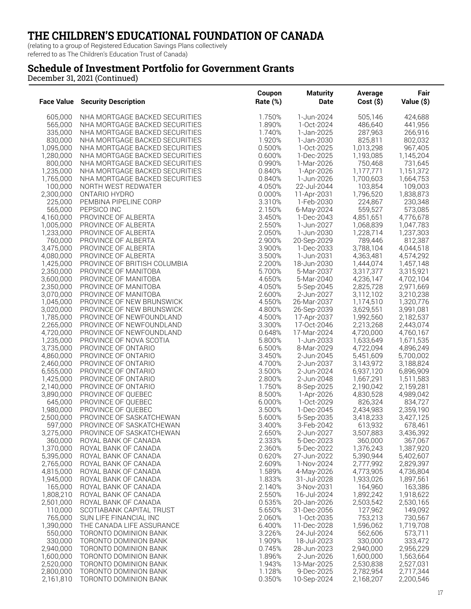(relating to a group of Registered Education Savings Plans collectively referred to as The Children's Education Trust of Canada)

### **Schedule of Investment Portfolio for Government Grants**

| <b>Face Value</b>      | <b>Security Description</b>                                      | Coupon<br>Rate (%) | <b>Maturity</b><br><b>Date</b> | Average<br>Cost(S)     | Fair<br>Value (\$)     |
|------------------------|------------------------------------------------------------------|--------------------|--------------------------------|------------------------|------------------------|
|                        |                                                                  |                    |                                |                        |                        |
| 605,000                | NHA MORTGAGE BACKED SECURITIES                                   | 1.750%             | 1-Jun-2024                     | 505,146                | 424,688                |
| 565,000                | NHA MORTGAGE BACKED SECURITIES                                   | 1.890%             | 1-Oct-2024                     | 486,640                | 441,956                |
| 335,000                | NHA MORTGAGE BACKED SECURITIES                                   | 1.740%             | 1-Jan-2025                     | 287,963                | 266,916                |
| 830,000<br>1,095,000   | NHA MORTGAGE BACKED SECURITIES<br>NHA MORTGAGE BACKED SECURITIES | 1.920%<br>0.500%   | 1-Jan-2030<br>1-Oct-2025       | 825,811<br>1,013,298   | 802,032<br>967,405     |
| 1,280,000              | NHA MORTGAGE BACKED SECURITIES                                   | 0.600%             | 1-Dec-2025                     | 1,193,085              | 1,145,204              |
| 800,000                | NHA MORTGAGE BACKED SECURITIES                                   | 0.990%             | 1-Mar-2026                     | 750,468                | 731,645                |
| 1,235,000              | NHA MORTGAGE BACKED SECURITIES                                   | 0.840%             | 1-Apr-2026                     | 1,177,771              | 1,151,372              |
| 1,765,000              | NHA MORTGAGE BACKED SECURITIES                                   | 0.840%             | 1-Jun-2026                     | 1,700,603              | 1,664,753              |
| 100,000                | NORTH WEST REDWATER                                              | 4.050%             | 22-Jul-2044                    | 103,854                | 109,003                |
| 2,300,000              | ONTARIO HYDRO                                                    | 0.000%             | 11-Apr-2031                    | 1,796,520              | 1,838,873              |
| 225,000                | PEMBINA PIPELINE CORP                                            | 3.310%             | 1-Feb-2030                     | 224,867                | 230,348                |
| 565,000                | PEPSICO INC                                                      | 2.150%             | 6-May-2024                     | 559,527                | 573,085                |
| 4,160,000<br>1,005,000 | PROVINCE OF ALBERTA<br>PROVINCE OF ALBERTA                       | 3.450%<br>2.550%   | 1-Dec-2043<br>1-Jun-2027       | 4,851,651<br>1,068,839 | 4,776,678<br>1,047,783 |
| 1,233,000              | PROVINCE OF ALBERTA                                              | 2.050%             | 1-Jun-2030                     | 1,228,714              | 1,237,303              |
| 760,000                | PROVINCE OF ALBERTA                                              | 2.900%             | 20-Sep-2029                    | 789,446                | 812,387                |
| 3,475,000              | PROVINCE OF ALBERTA                                              | 3.900%             | 1-Dec-2033                     | 3,788,104              | 4,044,518              |
| 4,080,000              | PROVINCE OF ALBERTA                                              | 3.500%             | 1-Jun-2031                     | 4,363,481              | 4,574,292              |
| 1,425,000              | PROVINCE OF BRITISH COLUMBIA                                     | 2.200%             | 18-Jun-2030                    | 1,444,074              | 1,457,148              |
| 2,350,000              | PROVINCE OF MANITOBA                                             | 5.700%             | 5-Mar-2037                     | 3,317,377              | 3,315,921              |
| 3,600,000              | PROVINCE OF MANITOBA                                             | 4.650%             | 5-Mar-2040                     | 4,236,147              | 4,702,104              |
| 2,350,000              | PROVINCE OF MANITOBA                                             | 4.050%             | 5-Sep-2045                     | 2,825,728              | 2,971,669              |
| 3,070,000<br>1,045,000 | PROVINCE OF MANITOBA<br>PROVINCE OF NEW BRUNSWICK                | 2.600%<br>4.550%   | 2-Jun-2027<br>26-Mar-2037      | 3,112,102<br>1,174,510 | 3,210,238<br>1,320,776 |
| 3,020,000              | PROVINCE OF NEW BRUNSWICK                                        | 4.800%             | 26-Sep-2039                    | 3,629,551              | 3,991,081              |
| 1,785,000              | PROVINCE OF NEWFOUNDLAND                                         | 4.500%             | 17-Apr-2037                    | 1,992,560              | 2,182,537              |
| 2,265,000              | PROVINCE OF NEWFOUNDLAND                                         | 3.300%             | 17-Oct-2046                    | 2,213,268              | 2,443,074              |
| 4,720,000              | PROVINCE OF NEWFOUNDLAND                                         | 0.648%             | 17-Mar-2024                    | 4,720,000              | 4,760,167              |
| 1,235,000              | PROVINCE OF NOVA SCOTIA                                          | 5.800%             | 1-Jun-2033                     | 1,633,649              | 1,671,535              |
| 3,735,000              | PROVINCE OF ONTARIO                                              | 6.500%             | 8-Mar-2029                     | 4,722,094              | 4,896,249              |
| 4,860,000              | PROVINCE OF ONTARIO                                              | 3.450%             | 2-Jun-2045                     | 5,451,609              | 5,700,002              |
| 2,460,000              | PROVINCE OF ONTARIO                                              | 4.700%             | 2-Jun-2037                     | 3,143,972              | 3,188,824              |
| 6,555,000<br>1,425,000 | PROVINCE OF ONTARIO<br>PROVINCE OF ONTARIO                       | 3.500%<br>2.800%   | 2-Jun-2024<br>2-Jun-2048       | 6,937,120<br>1,667,291 | 6,896,909<br>1,511,583 |
| 2,140,000              | PROVINCE OF ONTARIO                                              | 1.750%             | 8-Sep-2025                     | 2,190,042              | 2,159,281              |
| 3,890,000              | PROVINCE OF QUEBEC                                               | 8.500%             | 1-Apr-2026                     | 4,830,528              | 4,989,042              |
| 645,000                | PROVINCE OF QUEBEC                                               | 6.000%             | 1-Oct-2029                     | 826,324                | 834,727                |
| 1,980,000              | PROVINCE OF QUEBEC                                               | 3.500%             | 1-Dec-2045                     | 2,434,983              | 2,359,190              |
| 2,500,000              | PROVINCE OF SASKATCHEWAN                                         | 5.600%             | 5-Sep-2035                     | 3,418,233              | 3,427,125              |
| 597,000                | PROVINCE OF SASKATCHEWAN                                         | 3.400%             | 3-Feb-2042                     | 613,932                | 678,461                |
| 3,275,000              | PROVINCE OF SASKATCHEWAN                                         | 2.650%             | 2-Jun-2027                     | 3,507,883              | 3,436,392              |
| 360,000                | ROYAL BANK OF CANADA                                             | 2.333%             | 5-Dec-2023                     | 360,000                | 367,067                |
| 1,370,000<br>5,395,000 | ROYAL BANK OF CANADA<br>ROYAL BANK OF CANADA                     | 2.360%<br>0.620%   | 5-Dec-2022<br>27-Jun-2022      | 1,376,243<br>5,390,944 | 1,387,920<br>5,402,607 |
| 2,765,000              | ROYAL BANK OF CANADA                                             | 2.609%             | 1-Nov-2024                     | 2,777,992              | 2,829,397              |
| 4,815,000              | ROYAL BANK OF CANADA                                             | 1.589%             | 4-May-2026                     | 4,773,905              | 4,736,804              |
| 1,945,000              | ROYAL BANK OF CANADA                                             | 1.833%             | 31-Jul-2028                    | 1,933,026              | 1,897,561              |
| 165,000                | ROYAL BANK OF CANADA                                             | 2.140%             | 3-Nov-2031                     | 164,960                | 163,386                |
| 1,808,210              | ROYAL BANK OF CANADA                                             | 2.550%             | 16-Jul-2024                    | 1,892,242              | 1,918,622              |
| 2,501,000              | ROYAL BANK OF CANADA                                             | 0.535%             | 20-Jan-2026                    | 2,503,542              | 2,530,165              |
| 110,000                | SCOTIABANK CAPITAL TRUST                                         | 5.650%             | 31-Dec-2056                    | 127,962                | 149,092                |
| 765,000                | SUN LIFE FINANCIAL INC<br>THE CANADA LIFE ASSURANCE              | 2.060%             | 1-Oct-2035                     | 753,213                | 730,567                |
| 1,390,000<br>550,000   | TORONTO DOMINION BANK                                            | 6.400%<br>3.226%   | 11-Dec-2028<br>24-Jul-2024     | 1,596,062<br>562,606   | 1,719,708<br>573,711   |
| 330,000                | TORONTO DOMINION BANK                                            | 1.909%             | 18-Jul-2023                    | 330,000                | 333,472                |
| 2,940,000              | TORONTO DOMINION BANK                                            | 0.745%             | 28-Jun-2023                    | 2,940,000              | 2,956,229              |
| 1,600,000              | TORONTO DOMINION BANK                                            | 1.896%             | 2-Jun-2026                     | 1,600,000              | 1,563,664              |
| 2,520,000              | TORONTO DOMINION BANK                                            | 1.943%             | 13-Mar-2025                    | 2,530,838              | 2,527,031              |
| 2,800,000              | TORONTO DOMINION BANK                                            | 1.128%             | 9-Dec-2025                     | 2,782,954              | 2,717,344              |
| 2,161,810              | TORONTO DOMINION BANK                                            | 0.350%             | 10-Sep-2024                    | 2,168,207              | 2,200,546              |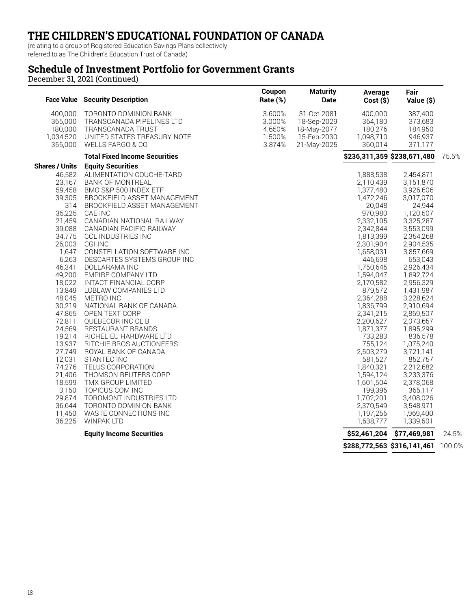(relating to a group of Registered Education Savings Plans collectively

referred to as The Children's Education Trust of Canada)

### **Schedule of Investment Portfolio for Government Grants**

|                                                                                                                                                                                                                                                   | <b>Face Value</b> Security Description                                                                                                                                                                                                                                                                                                                                                                                                                                                                                                                                                                              | Coupon<br>Rate (%)                             | <b>Maturity</b><br><b>Date</b>                                          | Average<br>Cost(S)                                                                                                                                                                                                                                                                                                 | Fair<br>Value (\$)                                                                                                                                                                                                                                                                                                       |       |
|---------------------------------------------------------------------------------------------------------------------------------------------------------------------------------------------------------------------------------------------------|---------------------------------------------------------------------------------------------------------------------------------------------------------------------------------------------------------------------------------------------------------------------------------------------------------------------------------------------------------------------------------------------------------------------------------------------------------------------------------------------------------------------------------------------------------------------------------------------------------------------|------------------------------------------------|-------------------------------------------------------------------------|--------------------------------------------------------------------------------------------------------------------------------------------------------------------------------------------------------------------------------------------------------------------------------------------------------------------|--------------------------------------------------------------------------------------------------------------------------------------------------------------------------------------------------------------------------------------------------------------------------------------------------------------------------|-------|
| 400,000<br>365,000<br>180,000<br>1,034,520<br>355,000                                                                                                                                                                                             | TORONTO DOMINION BANK<br>TRANSCANADA PIPELINES LTD<br>TRANSCANADA TRUST<br>UNITED STATES TREASURY NOTE<br>WELLS FARGO & CO                                                                                                                                                                                                                                                                                                                                                                                                                                                                                          | 3.600%<br>3.000%<br>4.650%<br>1.500%<br>3.874% | 31-Oct-2081<br>18-Sep-2029<br>18-May-2077<br>15-Feb-2030<br>21-May-2025 | 400,000<br>364,180<br>180,276<br>1,098,710<br>360,014                                                                                                                                                                                                                                                              | 387,400<br>373,683<br>184,950<br>946,937<br>371,177                                                                                                                                                                                                                                                                      |       |
|                                                                                                                                                                                                                                                   | <b>Total Fixed Income Securities</b>                                                                                                                                                                                                                                                                                                                                                                                                                                                                                                                                                                                |                                                |                                                                         | \$236,311,359 \$238,671,480                                                                                                                                                                                                                                                                                        |                                                                                                                                                                                                                                                                                                                          | 75.5% |
| 46,582<br>23,167<br>59,458<br>39,305<br>314<br>35,225<br>21,459<br>39,088<br>34,775<br>26,003<br>1,647<br>6,263<br>46,341<br>49,200<br>18,022<br>13,849<br>48,045<br>30,219<br>47,865<br>72,811<br>24,569<br>19,214<br>13,937<br>27,749<br>12,031 | ALIMENTATION COUCHE-TARD<br><b>BANK OF MONTREAL</b><br>BMO S&P 500 INDEX ETF<br>BROOKFIELD ASSET MANAGEMENT<br>BROOKFIELD ASSET MANAGEMENT<br>CAE INC<br>CANADIAN NATIONAL RAILWAY<br>CANADIAN PACIFIC RAILWAY<br><b>CCL INDUSTRIES INC</b><br><b>CGI INC</b><br>CONSTELLATION SOFTWARE INC<br>DESCARTES SYSTEMS GROUP INC<br>DOLLARAMA INC<br>EMPIRE COMPANY LTD<br>INTACT FINANCIAL CORP<br>LOBLAW COMPANIES LTD<br>METRO INC<br>NATIONAL BANK OF CANADA<br>OPEN TEXT CORP<br>QUEBECOR INC CL B<br>RESTAURANT BRANDS<br>RICHELIEU HARDWARE LTD<br>RITCHIE BROS AUCTIONEERS<br>ROYAL BANK OF CANADA<br>STANTEC INC |                                                |                                                                         | 1,888,538<br>2,110,439<br>1,377,480<br>1,472,246<br>20,048<br>970,980<br>2,332,105<br>2,342,844<br>1,813,399<br>2,301,904<br>1,658,031<br>446,698<br>1,750,645<br>1,594,047<br>2,170,582<br>879,572<br>2,364,288<br>1,836,799<br>2,341,215<br>2,200,627<br>1,871,377<br>733,283<br>755,124<br>2,503,279<br>581,527 | 2,454,871<br>3,151,870<br>3,926,606<br>3,017,070<br>24,944<br>1,120,507<br>3,325,287<br>3,553,099<br>2,354,268<br>2,904,535<br>3,857,669<br>653,043<br>2,926,434<br>1,892,724<br>2,956,329<br>1,431,987<br>3,228,624<br>2,910,694<br>2,869,507<br>2,073,657<br>1,895,299<br>836,578<br>1,075,240<br>3,721,141<br>852,757 |       |
| 74,276<br>21,406<br>18,599<br>3,150<br>29,874<br>36,644<br>11,450<br>36,225                                                                                                                                                                       | TELUS CORPORATION<br>THOMSON REUTERS CORP<br>TMX GROUP LIMITED<br>TOPICUS COM INC<br>TOROMONT INDUSTRIES LTD<br>TORONTO DOMINION BANK<br>WASTE CONNECTIONS INC<br><b>WINPAK LTD</b>                                                                                                                                                                                                                                                                                                                                                                                                                                 |                                                |                                                                         | 1,840,321<br>1,594,124<br>1,601,504<br>199,395<br>1,702,201<br>2,370,549<br>1,197,256<br>1,638,777                                                                                                                                                                                                                 | 2,212,682<br>3,233,376<br>2,378,068<br>365,117<br>3,408,026<br>3,548,971<br>1,969,400<br>1,339,601                                                                                                                                                                                                                       |       |
|                                                                                                                                                                                                                                                   | <b>Equity Income Securities</b>                                                                                                                                                                                                                                                                                                                                                                                                                                                                                                                                                                                     |                                                |                                                                         | \$52,461,204                                                                                                                                                                                                                                                                                                       | \$77,469,981                                                                                                                                                                                                                                                                                                             | 24.5% |
|                                                                                                                                                                                                                                                   |                                                                                                                                                                                                                                                                                                                                                                                                                                                                                                                                                                                                                     |                                                |                                                                         |                                                                                                                                                                                                                                                                                                                    | \$288,772,563 \$316,141,461 100.0%                                                                                                                                                                                                                                                                                       |       |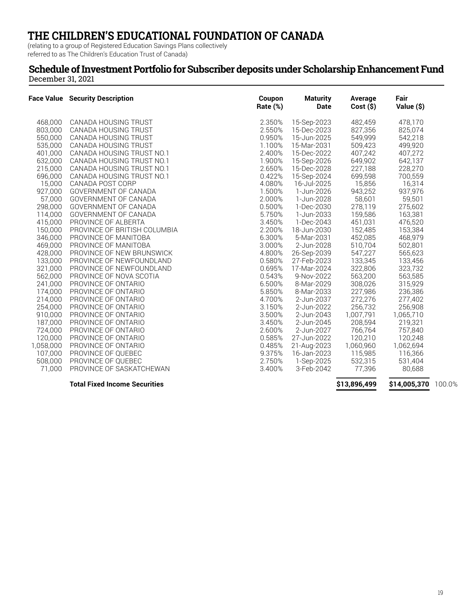(relating to a group of Registered Education Savings Plans collectively referred to as The Children's Education Trust of Canada)

#### **Schedule of Investment Portfolio for Subscriber deposits under Scholarship Enhancement Fund** December 31, 2021

|           | <b>Face Value</b> Security Description | Coupon<br>Rate (%) | <b>Maturity</b><br><b>Date</b> | Average<br>$Cost($ \$) | Fair<br>Value (\$)  |  |
|-----------|----------------------------------------|--------------------|--------------------------------|------------------------|---------------------|--|
| 468,000   | CANADA HOUSING TRUST                   | 2.350%             | 15-Sep-2023                    | 482,459                | 478,170             |  |
| 803,000   | CANADA HOUSING TRUST                   | 2.550%             | 15-Dec-2023                    | 827,356                | 825,074             |  |
| 550,000   | CANADA HOUSING TRUST                   | 0.950%             | 15-Jun-2025                    | 549,999                | 542,218             |  |
| 535,000   | CANADA HOUSING TRUST                   | 1.100%             | 15-Mar-2031                    | 509,423                | 499,920             |  |
| 401,000   | CANADA HOUSING TRUST NO.1              | 2.400%             | 15-Dec-2022                    | 407,242                | 407,272             |  |
| 632,000   | CANADA HOUSING TRUST NO.1              | 1.900%             | 15-Sep-2026                    | 649,902                | 642,137             |  |
| 215,000   | CANADA HOUSING TRUST NO.1              | 2.650%             | 15-Dec-2028                    | 227,188                | 228,270             |  |
| 696,000   | CANADA HOUSING TRUST NO.1              | 0.422%             | 15-Sep-2024                    | 699,598                | 700,559             |  |
| 15,000    | CANADA POST CORP                       | 4.080%             | 16-Jul-2025                    | 15,856                 | 16,314              |  |
| 927,000   | GOVERNMENT OF CANADA                   | 1.500%             | 1-Jun-2026                     | 943,252                | 937,976             |  |
| 57.000    | GOVERNMENT OF CANADA                   | 2.000%             | 1-Jun-2028                     | 58,601                 | 59,501              |  |
| 298,000   | GOVERNMENT OF CANADA                   | 0.500%             | 1-Dec-2030                     | 278,119                | 275,602             |  |
| 114,000   | GOVERNMENT OF CANADA                   | 5.750%             | 1-Jun-2033                     | 159,586                | 163,381             |  |
| 415,000   | PROVINCE OF ALBERTA                    | 3.450%             | 1-Dec-2043                     | 451,031                | 476,520             |  |
| 150,000   | PROVINCE OF BRITISH COLUMBIA           | 2.200%             | 18-Jun-2030                    | 152,485                | 153,384             |  |
| 346,000   | PROVINCE OF MANITOBA                   | 6.300%             | 5-Mar-2031                     | 452,085                | 468,979             |  |
| 469,000   | PROVINCE OF MANITOBA                   | 3.000%             | 2-Jun-2028                     | 510,704                | 502,801             |  |
| 428,000   | PROVINCE OF NEW BRUNSWICK              | 4.800%             | 26-Sep-2039                    | 547,227                | 565,623             |  |
| 133,000   | PROVINCE OF NEWFOUNDLAND               | 0.580%             | 27-Feb-2023                    | 133,345                | 133,456             |  |
| 321,000   | PROVINCE OF NEWFOUNDLAND               | 0.695%             | 17-Mar-2024                    | 322,806                | 323,732             |  |
| 562,000   | PROVINCE OF NOVA SCOTIA                | 0.543%             | 9-Nov-2022                     | 563,200                | 563,585             |  |
| 241,000   | PROVINCE OF ONTARIO                    | 6.500%             | 8-Mar-2029                     | 308,026                | 315,929             |  |
| 174,000   | PROVINCE OF ONTARIO                    | 5.850%             | 8-Mar-2033                     | 227,986                | 236,386             |  |
| 214,000   | PROVINCE OF ONTARIO                    | 4.700%             | 2-Jun-2037                     | 272,276                | 277,402             |  |
| 254.000   | PROVINCE OF ONTARIO                    | 3.150%             | 2-Jun-2022                     | 256,732                | 256,908             |  |
| 910,000   | PROVINCE OF ONTARIO                    | 3.500%             | 2-Jun-2043                     | 1,007,791              | 1,065,710           |  |
| 187,000   | PROVINCE OF ONTARIO                    | 3.450%             | 2-Jun-2045                     | 208,594                | 219,321             |  |
| 724,000   | PROVINCE OF ONTARIO                    | 2.600%             | 2-Jun-2027                     | 766,764                | 757,840             |  |
| 120,000   | PROVINCE OF ONTARIO                    | 0.585%             | 27-Jun-2022                    | 120,210                | 120,248             |  |
| 1,058,000 | PROVINCE OF ONTARIO                    | 0.485%             | 21-Aug-2023                    | 1,060,960              | 1,062,694           |  |
| 107,000   | PROVINCE OF QUEBEC                     | 9.375%             | 16-Jan-2023                    | 115,985                | 116,366             |  |
| 508,000   | PROVINCE OF QUEBEC                     | 2.750%             | 1-Sep-2025                     | 532,315                | 531,404             |  |
| 71.000    | PROVINCE OF SASKATCHEWAN               | 3.400%             | 3-Feb-2042                     | 77,396                 | 80,688              |  |
|           | <b>Total Fixed Income Securities</b>   |                    |                                | \$13,896,499           | \$14,005,370 100.0% |  |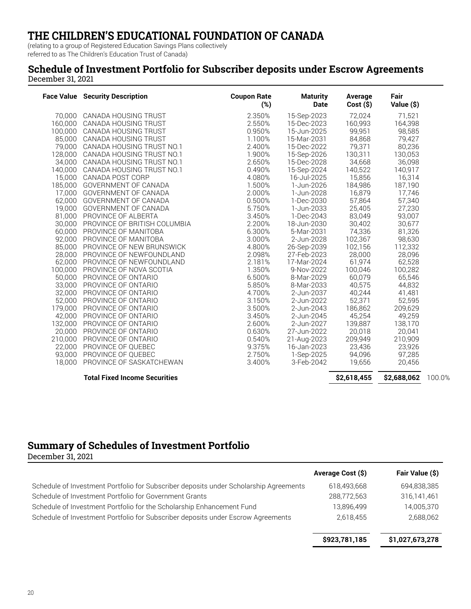(relating to a group of Registered Education Savings Plans collectively

referred to as The Children's Education Trust of Canada)

#### **Schedule of Investment Portfolio for Subscriber deposits under Escrow Agreements** December 31, 2021

|         | <b>Face Value</b> Security Description | <b>Coupon Rate</b><br>$(\%)$ | <b>Maturity</b><br><b>Date</b> | Average<br>$Cost($ \$) | Fair<br>Value (\$) |        |
|---------|----------------------------------------|------------------------------|--------------------------------|------------------------|--------------------|--------|
|         | 70,000 CANADA HOUSING TRUST            | 2.350%                       | 15-Sep-2023                    | 72.024                 | 71,521             |        |
| 160.000 | CANADA HOUSING TRUST                   | 2.550%                       | 15-Dec-2023                    | 160,993                | 164,398            |        |
| 100,000 | CANADA HOUSING TRUST                   | 0.950%                       | 15-Jun-2025                    | 99,951                 | 98,585             |        |
| 85.000  | CANADA HOUSING TRUST                   | 1.100%                       | 15-Mar-2031                    | 84,868                 | 79,427             |        |
|         | 79,000 CANADA HOUSING TRUST NO.1       | 2.400%                       | 15-Dec-2022                    | 79,371                 | 80,236             |        |
|         | 128,000 CANADA HOUSING TRUST NO.1      | 1.900%                       | 15-Sep-2026                    | 130,311                | 130,053            |        |
|         | 34,000 CANADA HOUSING TRUST NO.1       | 2.650%                       | 15-Dec-2028                    | 34,668                 | 36,098             |        |
|         | 140,000 CANADA HOUSING TRUST NO.1      | 0.490%                       | 15-Sep-2024                    | 140,522                | 140,917            |        |
|         | 15,000 CANADA POST CORP                | 4.080%                       | 16-Jul-2025                    | 15,856                 | 16,314             |        |
|         | 185,000 GOVERNMENT OF CANADA           | 1.500%                       | 1-Jun-2026                     | 184,986                | 187,190            |        |
|         | 17,000 GOVERNMENT OF CANADA            | 2.000%                       | 1-Jun-2028                     | 16,879                 | 17,746             |        |
| 62,000  | GOVERNMENT OF CANADA                   | 0.500%                       | 1-Dec-2030                     | 57,864                 | 57,340             |        |
| 19,000  | <b>GOVERNMENT OF CANADA</b>            | 5.750%                       | 1-Jun-2033                     | 25,405                 | 27,230             |        |
| 81,000  | PROVINCE OF ALBERTA                    | 3.450%                       | 1-Dec-2043                     | 83,049                 | 93,007             |        |
| 30,000  | PROVINCE OF BRITISH COLUMBIA           | 2.200%                       | 18-Jun-2030                    | 30,402                 | 30,677             |        |
| 60.000  | PROVINCE OF MANITOBA                   | 6.300%                       | 5-Mar-2031                     | 74,336                 | 81,326             |        |
| 92.000  | PROVINCE OF MANITOBA                   | 3.000%                       | 2-Jun-2028                     | 102,367                | 98,630             |        |
| 85.000  | PROVINCE OF NEW BRUNSWICK              | 4.800%                       | 26-Sep-2039                    | 102,156                | 112,332            |        |
| 28,000  | PROVINCE OF NEWFOUNDLAND               | 2.098%                       | 27-Feb-2023                    | 28,000                 | 28,096             |        |
| 62,000  | PROVINCE OF NEWFOUNDLAND               | 2.181%                       | 17-Mar-2024                    | 61,974                 | 62,528             |        |
| 100.000 | PROVINCE OF NOVA SCOTIA                | 1.350%                       | 9-Nov-2022                     | 100,046                | 100,282            |        |
| 50,000  | PROVINCE OF ONTARIO                    | 6.500%                       | 8-Mar-2029                     | 60,079                 | 65,546             |        |
|         | 33,000 PROVINCE OF ONTARIO             | 5.850%                       | 8-Mar-2033                     | 40,575                 | 44,832             |        |
| 32,000  | PROVINCE OF ONTARIO                    | 4.700%                       | 2-Jun-2037                     | 40,244                 | 41,481             |        |
| 52,000  | PROVINCE OF ONTARIO                    | 3.150%                       | 2-Jun-2022                     | 52,371                 | 52,595             |        |
| 179,000 | PROVINCE OF ONTARIO                    | 3.500%                       | 2-Jun-2043                     | 186,862                | 209,629            |        |
| 42,000  | PROVINCE OF ONTARIO                    | 3.450%                       | 2-Jun-2045                     | 45,254                 | 49,259             |        |
| 132,000 | PROVINCE OF ONTARIO                    | 2.600%                       | 2-Jun-2027                     | 139,887                | 138,170            |        |
| 20,000  | PROVINCE OF ONTARIO                    | 0.630%                       | 27-Jun-2022                    | 20,018                 | 20,041             |        |
| 210,000 | PROVINCE OF ONTARIO                    | 0.540%                       | 21-Aug-2023                    | 209,949                | 210,909            |        |
| 22,000  | PROVINCE OF QUEBEC                     | 9.375%                       | 16-Jan-2023                    | 23,436                 | 23,926             |        |
| 93.000  | PROVINCE OF OUEBEC                     | 2.750%                       | 1-Sep-2025                     | 94,096                 | 97,285             |        |
| 18,000  | PROVINCE OF SASKATCHEWAN               | 3.400%                       | 3-Feb-2042                     | 19,656                 | 20,456             |        |
|         | <b>Total Fixed Income Securities</b>   |                              |                                | \$2,618,455            | \$2,688,062        | 100.0% |

### **Summary of Schedules of Investment Portfolio**

December 31, 2021

|                                                                                       | Average Cost (\$) | Fair Value (\$) |
|---------------------------------------------------------------------------------------|-------------------|-----------------|
| Schedule of Investment Portfolio for Subscriber deposits under Scholarship Agreements | 618,493,668       | 694,838,385     |
| Schedule of Investment Portfolio for Government Grants                                | 288,772,563       | 316,141,461     |
| Schedule of Investment Portfolio for the Scholarship Enhancement Fund                 | 13,896,499        | 14,005,370      |
| Schedule of Investment Portfolio for Subscriber deposits under Escrow Agreements      | 2,618,455         | 2,688,062       |
|                                                                                       | \$923,781,185     | \$1,027,673,278 |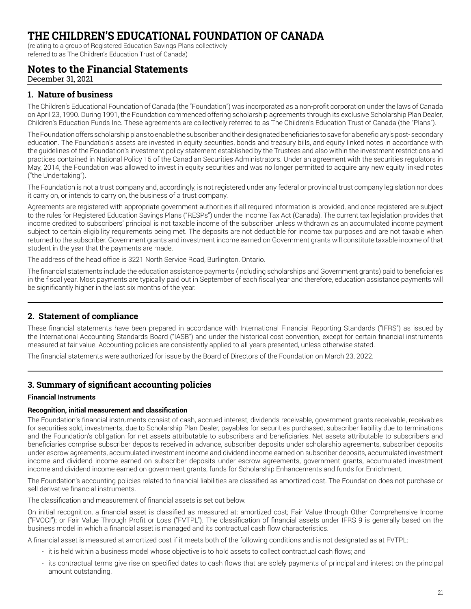(relating to a group of Registered Education Savings Plans collectively referred to as The Children's Education Trust of Canada)

### **Notes to the Financial Statements**

December 31, 2021

#### **1. Nature of business**

The Children's Educational Foundation of Canada (the "Foundation") was incorporated as a non-profit corporation under the laws of Canada on April 23, 1990. During 1991, the Foundation commenced offering scholarship agreements through its exclusive Scholarship Plan Dealer, Children's Education Funds Inc. These agreements are collectively referred to as The Children's Education Trust of Canada (the "Plans").

The Foundation offers scholarship plans to enable the subscriber and their designated beneficiaries to save for a beneficiary's post- secondary education. The Foundation's assets are invested in equity securities, bonds and treasury bills, and equity linked notes in accordance with the guidelines of the Foundation's investment policy statement established by the Trustees and also within the investment restrictions and practices contained in National Policy 15 of the Canadian Securities Administrators. Under an agreement with the securities regulators in May, 2014, the Foundation was allowed to invest in equity securities and was no longer permitted to acquire any new equity linked notes ("the Undertaking").

The Foundation is not a trust company and, accordingly, is not registered under any federal or provincial trust company legislation nor does it carry on, or intends to carry on, the business of a trust company.

Agreements are registered with appropriate government authorities if all required information is provided, and once registered are subject to the rules for Registered Education Savings Plans ("RESPs") under the Income Tax Act (Canada). The current tax legislation provides that income credited to subscribers' principal is not taxable income of the subscriber unless withdrawn as an accumulated income payment subject to certain eligibility requirements being met. The deposits are not deductible for income tax purposes and are not taxable when returned to the subscriber. Government grants and investment income earned on Government grants will constitute taxable income of that student in the year that the payments are made.

The address of the head office is 3221 North Service Road, Burlington, Ontario.

The financial statements include the education assistance payments (including scholarships and Government grants) paid to beneficiaries in the fiscal year. Most payments are typically paid out in September of each fiscal year and therefore, education assistance payments will be significantly higher in the last six months of the year.

### **2. Statement of compliance**

These financial statements have been prepared in accordance with International Financial Reporting Standards ("IFRS") as issued by the International Accounting Standards Board ("IASB") and under the historical cost convention, except for certain financial instruments measured at fair value. Accounting policies are consistently applied to all years presented, unless otherwise stated.

The financial statements were authorized for issue by the Board of Directors of the Foundation on March 23, 2022.

### **3. Summary of significant accounting policies**

#### **Financial Instruments**

#### **Recognition, initial measurement and classification**

The Foundation's financial instruments consist of cash, accrued interest, dividends receivable, government grants receivable, receivables for securities sold, investments, due to Scholarship Plan Dealer, payables for securities purchased, subscriber liability due to terminations and the Foundation's obligation for net assets attributable to subscribers and beneficiaries. Net assets attributable to subscribers and beneficiaries comprise subscriber deposits received in advance, subscriber deposits under scholarship agreements, subscriber deposits under escrow agreements, accumulated investment income and dividend income earned on subscriber deposits, accumulated investment income and dividend income earned on subscriber deposits under escrow agreements, government grants, accumulated investment income and dividend income earned on government grants, funds for Scholarship Enhancements and funds for Enrichment.

The Foundation's accounting policies related to financial liabilities are classified as amortized cost. The Foundation does not purchase or sell derivative financial instruments.

The classification and measurement of financial assets is set out below.

On initial recognition, a financial asset is classified as measured at: amortized cost; Fair Value through Other Comprehensive Income ("FVOCI"); or Fair Value Through Profit or Loss ("FVTPL"). The classification of financial assets under IFRS 9 is generally based on the business model in which a financial asset is managed and its contractual cash flow characteristics.

A financial asset is measured at amortized cost if it meets both of the following conditions and is not designated as at FVTPL:

- it is held within a business model whose objective is to hold assets to collect contractual cash flows; and
- its contractual terms give rise on specified dates to cash flows that are solely payments of principal and interest on the principal amount outstanding.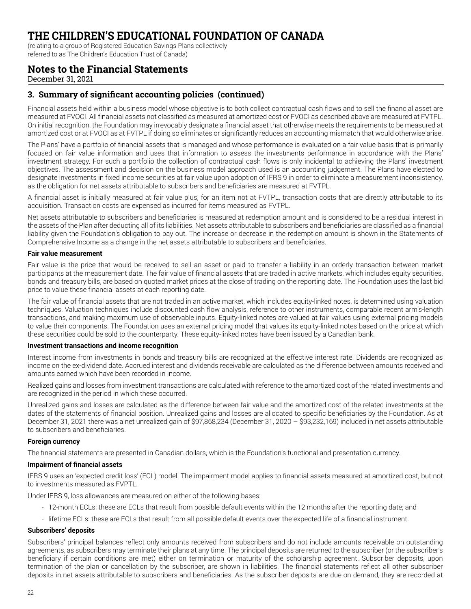(relating to a group of Registered Education Savings Plans collectively

referred to as The Children's Education Trust of Canada)

### **Notes to the Financial Statements**

December 31, 2021

#### **3. Summary of significant accounting policies (continued)**

Financial assets held within a business model whose objective is to both collect contractual cash flows and to sell the financial asset are measured at FVOCI. All financial assets not classified as measured at amortized cost or FVOCI as described above are measured at FVTPL. On initial recognition, the Foundation may irrevocably designate a financial asset that otherwise meets the requirements to be measured at amortized cost or at FVOCI as at FVTPL if doing so eliminates or significantly reduces an accounting mismatch that would otherwise arise.

The Plans' have a portfolio of financial assets that is managed and whose performance is evaluated on a fair value basis that is primarily focused on fair value information and uses that information to assess the investments performance in accordance with the Plans' investment strategy. For such a portfolio the collection of contractual cash flows is only incidental to achieving the Plans' investment objectives. The assessment and decision on the business model approach used is an accounting judgement. The Plans have elected to designate investments in fixed income securities at fair value upon adoption of IFRS 9 in order to eliminate a measurement inconsistency, as the obligation for net assets attributable to subscribers and beneficiaries are measured at FVTPL.

A financial asset is initially measured at fair value plus, for an item not at FVTPL, transaction costs that are directly attributable to its acquisition. Transaction costs are expensed as incurred for items measured as FVTPL.

Net assets attributable to subscribers and beneficiaries is measured at redemption amount and is considered to be a residual interest in the assets of the Plan after deducting all of its liabilities. Net assets attributable to subscribers and beneficiaries are classified as a financial liability given the Foundation's obligation to pay out. The increase or decrease in the redemption amount is shown in the Statements of Comprehensive Income as a change in the net assets attributable to subscribers and beneficiaries.

#### **Fair value measurement**

Fair value is the price that would be received to sell an asset or paid to transfer a liability in an orderly transaction between market participants at the measurement date. The fair value of financial assets that are traded in active markets, which includes equity securities, bonds and treasury bills, are based on quoted market prices at the close of trading on the reporting date. The Foundation uses the last bid price to value these financial assets at each reporting date.

The fair value of financial assets that are not traded in an active market, which includes equity-linked notes, is determined using valuation techniques. Valuation techniques include discounted cash flow analysis, reference to other instruments, comparable recent arm's-length transactions, and making maximum use of observable inputs. Equity-linked notes are valued at fair values using external pricing models to value their components. The Foundation uses an external pricing model that values its equity-linked notes based on the price at which these securities could be sold to the counterparty. These equity-linked notes have been issued by a Canadian bank.

#### **Investment transactions and income recognition**

Interest income from investments in bonds and treasury bills are recognized at the effective interest rate. Dividends are recognized as income on the ex-dividend date. Accrued interest and dividends receivable are calculated as the difference between amounts received and amounts earned which have been recorded in income.

Realized gains and losses from investment transactions are calculated with reference to the amortized cost of the related investments and are recognized in the period in which these occurred.

Unrealized gains and losses are calculated as the difference between fair value and the amortized cost of the related investments at the dates of the statements of financial position. Unrealized gains and losses are allocated to specific beneficiaries by the Foundation. As at December 31, 2021 there was a net unrealized gain of \$97,868,234 (December 31, 2020 – \$93,232,169) included in net assets attributable to subscribers and beneficiaries.

#### **Foreign currency**

The financial statements are presented in Canadian dollars, which is the Foundation's functional and presentation currency.

#### **Impairment of financial assets**

IFRS 9 uses an 'expected credit loss' (ECL) model. The impairment model applies to financial assets measured at amortized cost, but not to investments measured as FVPTL.

Under IFRS 9, loss allowances are measured on either of the following bases:

- 12-month ECLs: these are ECLs that result from possible default events within the 12 months after the reporting date; and
- lifetime ECLs: these are ECLs that result from all possible default events over the expected life of a financial instrument.

#### **Subscribers' deposits**

Subscribers' principal balances reflect only amounts received from subscribers and do not include amounts receivable on outstanding agreements, as subscribers may terminate their plans at any time. The principal deposits are returned to the subscriber (or the subscriber's beneficiary if certain conditions are met) either on termination or maturity of the scholarship agreement. Subscriber deposits, upon termination of the plan or cancellation by the subscriber, are shown in liabilities. The financial statements reflect all other subscriber deposits in net assets attributable to subscribers and beneficiaries. As the subscriber deposits are due on demand, they are recorded at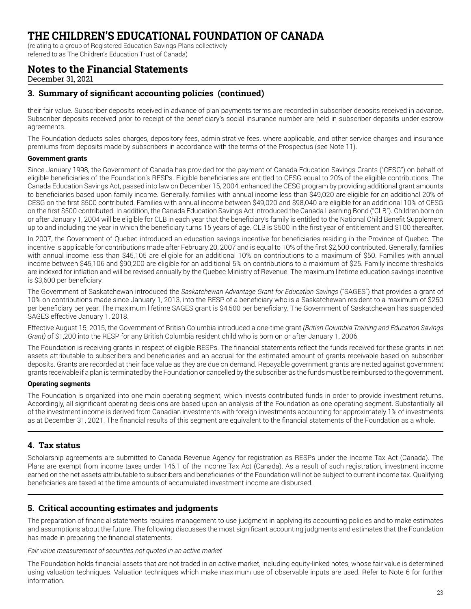(relating to a group of Registered Education Savings Plans collectively

referred to as The Children's Education Trust of Canada)

### **Notes to the Financial Statements**

December 31, 2021

#### **3. Summary of significant accounting policies (continued)**

their fair value. Subscriber deposits received in advance of plan payments terms are recorded in subscriber deposits received in advance. Subscriber deposits received prior to receipt of the beneficiary's social insurance number are held in subscriber deposits under escrow agreements.

The Foundation deducts sales charges, depository fees, administrative fees, where applicable, and other service charges and insurance premiums from deposits made by subscribers in accordance with the terms of the Prospectus (see Note 11).

#### **Government grants**

Since January 1998, the Government of Canada has provided for the payment of Canada Education Savings Grants ("CESG") on behalf of eligible beneficiaries of the Foundation's RESPs. Eligible beneficiaries are entitled to CESG equal to 20% of the eligible contributions. The Canada Education Savings Act, passed into law on December 15, 2004, enhanced the CESG program by providing additional grant amounts to beneficiaries based upon family income. Generally, families with annual income less than \$49,020 are eligible for an additional 20% of CESG on the first \$500 contributed. Families with annual income between \$49,020 and \$98,040 are eligible for an additional 10% of CESG on the first \$500 contributed. In addition, the Canada Education Savings Act introduced the Canada Learning Bond ("CLB"). Children born on or after January 1, 2004 will be eligible for CLB in each year that the beneficiary's family is entitled to the National Child Benefit Supplement up to and including the year in which the beneficiary turns 15 years of age. CLB is \$500 in the first year of entitlement and \$100 thereafter.

In 2007, the Government of Quebec introduced an education savings incentive for beneficiaries residing in the Province of Quebec. The incentive is applicable for contributions made after February 20, 2007 and is equal to 10% of the first \$2,500 contributed. Generally, families with annual income less than \$45,105 are eligible for an additional 10% on contributions to a maximum of \$50. Families with annual income between \$45,106 and \$90,200 are eligible for an additional 5% on contributions to a maximum of \$25. Family income thresholds are indexed for inflation and will be revised annually by the Quebec Ministry of Revenue. The maximum lifetime education savings incentive is \$3,600 per beneficiary.

The Government of Saskatchewan introduced the *Saskatchewan Advantage Grant for Education Savings* ("SAGES") that provides a grant of 10% on contributions made since January 1, 2013, into the RESP of a beneficiary who is a Saskatchewan resident to a maximum of \$250 per beneficiary per year. The maximum lifetime SAGES grant is \$4,500 per beneficiary. The Government of Saskatchewan has suspended SAGES effective January 1, 2018.

Effective August 15, 2015, the Government of British Columbia introduced a one-time grant *(British Columbia Training and Education Savings Grant)* of \$1,200 into the RESP for any British Columbia resident child who is born on or after January 1, 2006.

The Foundation is receiving grants in respect of eligible RESPs. The financial statements reflect the funds received for these grants in net assets attributable to subscribers and beneficiaries and an accrual for the estimated amount of grants receivable based on subscriber deposits. Grants are recorded at their face value as they are due on demand. Repayable government grants are netted against government grants receivable if a plan is terminated by the Foundation or cancelled by the subscriber as the funds must be reimbursed to the government.

#### **Operating segments**

The Foundation is organized into one main operating segment, which invests contributed funds in order to provide investment returns. Accordingly, all significant operating decisions are based upon an analysis of the Foundation as one operating segment. Substantially all of the investment income is derived from Canadian investments with foreign investments accounting for approximately 1% of investments as at December 31, 2021. The financial results of this segment are equivalent to the financial statements of the Foundation as a whole.

#### **4. Tax status**

Scholarship agreements are submitted to Canada Revenue Agency for registration as RESPs under the Income Tax Act (Canada). The Plans are exempt from income taxes under 146.1 of the Income Tax Act (Canada). As a result of such registration, investment income earned on the net assets attributable to subscribers and beneficiaries of the Foundation will not be subject to current income tax. Qualifying beneficiaries are taxed at the time amounts of accumulated investment income are disbursed.

#### **5. Critical accounting estimates and judgments**

The preparation of financial statements requires management to use judgment in applying its accounting policies and to make estimates and assumptions about the future. The following discusses the most significant accounting judgments and estimates that the Foundation has made in preparing the financial statements.

*Fair value measurement of securities not quoted in an active market*

The Foundation holds financial assets that are not traded in an active market, including equity-linked notes, whose fair value is determined using valuation techniques. Valuation techniques which make maximum use of observable inputs are used. Refer to Note 6 for further information.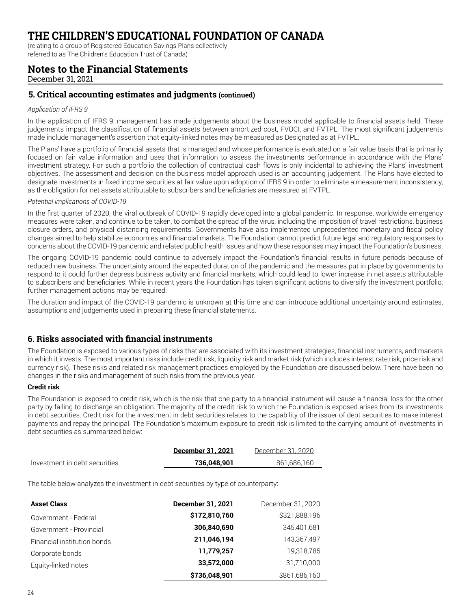(relating to a group of Registered Education Savings Plans collectively

referred to as The Children's Education Trust of Canada)

### **Notes to the Financial Statements**

December 31, 2021

#### **5. Critical accounting estimates and judgments (continued)**

#### *Application of IFRS 9*

In the application of IFRS 9, management has made judgements about the business model applicable to financial assets held. These judgements impact the classification of financial assets between amortized cost, FVOCI, and FVTPL. The most significant judgements made include management's assertion that equity-linked notes may be measured as Designated as at FVTPL.

The Plans' have a portfolio of financial assets that is managed and whose performance is evaluated on a fair value basis that is primarily focused on fair value information and uses that information to assess the investments performance in accordance with the Plans' investment strategy. For such a portfolio the collection of contractual cash flows is only incidental to achieving the Plans' investment objectives. The assessment and decision on the business model approach used is an accounting judgement. The Plans have elected to designate investments in fixed income securities at fair value upon adoption of IFRS 9 in order to eliminate a measurement inconsistency, as the obligation for net assets attributable to subscribers and beneficiaries are measured at FVTPL.

#### *Potential implications of COVID-19*

In the first quarter of 2020, the viral outbreak of COVID-19 rapidly developed into a global pandemic. In response, worldwide emergency measures were taken, and continue to be taken, to combat the spread of the virus, including the imposition of travel restrictions, business closure orders, and physical distancing requirements. Governments have also implemented unprecedented monetary and fiscal policy changes aimed to help stabilize economies and financial markets. The Foundation cannot predict future legal and regulatory responses to concerns about the COVID-19 pandemic and related public health issues and how these responses may impact the Foundation's business.

The ongoing COVID-19 pandemic could continue to adversely impact the Foundation's financial results in future periods because of reduced new business. The uncertainty around the expected duration of the pandemic and the measures put in place by governments to respond to it could further depress business activity and financial markets, which could lead to lower increase in net assets attributable to subscribers and beneficiaries. While in recent years the Foundation has taken significant actions to diversify the investment portfolio, further management actions may be required.

The duration and impact of the COVID-19 pandemic is unknown at this time and can introduce additional uncertainty around estimates, assumptions and judgements used in preparing these financial statements.

#### **6. Risks associated with financial instruments**

The Foundation is exposed to various types of risks that are associated with its investment strategies, financial instruments, and markets in which it invests. The most important risks include credit risk, liquidity risk and market risk (which includes interest rate risk, price risk and currency risk). These risks and related risk management practices employed by the Foundation are discussed below. There have been no changes in the risks and management of such risks from the previous year.

#### **Credit risk**

The Foundation is exposed to credit risk, which is the risk that one party to a financial instrument will cause a financial loss for the other party by failing to discharge an obligation. The majority of the credit risk to which the Foundation is exposed arises from its investments in debt securities. Credit risk for the investment in debt securities relates to the capability of the issuer of debt securities to make interest payments and repay the principal. The Foundation's maximum exposure to credit risk is limited to the carrying amount of investments in debt securities as summarized below:

|                               | December 31, 2021 | December 31, 2020 |
|-------------------------------|-------------------|-------------------|
| Investment in debt securities | 736.048.901       | 861.686.160       |

The table below analyzes the investment in debt securities by type of counterparty:

| <b>Asset Class</b>          | December 31, 2021 | December 31, 2020 |
|-----------------------------|-------------------|-------------------|
| Government - Federal        | \$172,810,760     | \$321,888,196     |
| Government - Provincial     | 306,840,690       | 345,401,681       |
| Financial institution bonds | 211,046,194       | 143,367,497       |
| Corporate bonds             | 11,779,257        | 19.318.785        |
| Equity-linked notes         | 33,572,000        | 31,710,000        |
|                             | \$736,048,901     | \$861,686,160     |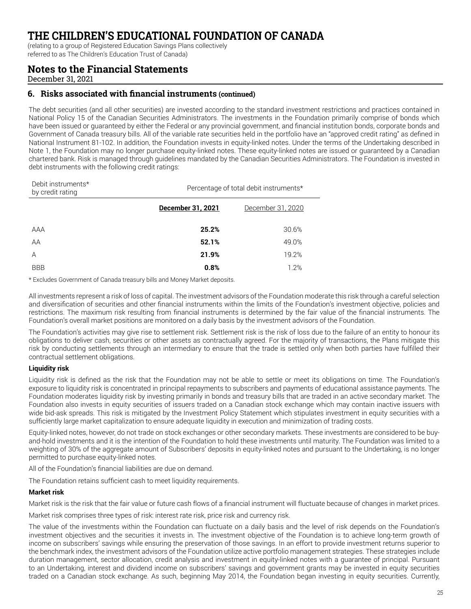(relating to a group of Registered Education Savings Plans collectively

referred to as The Children's Education Trust of Canada)

### **Notes to the Financial Statements**

December 31, 2021

Debit instruments\*

#### **6. Risks associated with financial instruments (continued)**

The debt securities (and all other securities) are invested according to the standard investment restrictions and practices contained in National Policy 15 of the Canadian Securities Administrators. The investments in the Foundation primarily comprise of bonds which have been issued or guaranteed by either the Federal or any provincial government, and financial institution bonds, corporate bonds and Government of Canada treasury bills. All of the variable rate securities held in the portfolio have an "approved credit rating" as defined in National Instrument 81-102. In addition, the Foundation invests in equity-linked notes. Under the terms of the Undertaking described in Note 1, the Foundation may no longer purchase equity-linked notes. These equity-linked notes are issued or guaranteed by a Canadian chartered bank. Risk is managed through guidelines mandated by the Canadian Securities Administrators. The Foundation is invested in debt instruments with the following credit ratings:

| Debit instruments*<br>by credit rating | Percentage of total debit instruments* |                   |  |
|----------------------------------------|----------------------------------------|-------------------|--|
|                                        | December 31, 2021                      | December 31, 2020 |  |
| AAA                                    | 25.2%                                  | 30.6%             |  |
| AA                                     | 52.1%                                  | 49.0%             |  |
| А                                      | 21.9%                                  | 19.2%             |  |
| <b>BBB</b>                             | 0.8%                                   | 1.2%              |  |

\* Excludes Government of Canada treasury bills and Money Market deposits.

All investments represent a risk of loss of capital. The investment advisors of the Foundation moderate this risk through a careful selection and diversification of securities and other financial instruments within the limits of the Foundation's investment objective, policies and restrictions. The maximum risk resulting from financial instruments is determined by the fair value of the financial instruments. The Foundation's overall market positions are monitored on a daily basis by the investment advisors of the Foundation.

The Foundation's activities may give rise to settlement risk. Settlement risk is the risk of loss due to the failure of an entity to honour its obligations to deliver cash, securities or other assets as contractually agreed. For the majority of transactions, the Plans mitigate this risk by conducting settlements through an intermediary to ensure that the trade is settled only when both parties have fulfilled their contractual settlement obligations.

#### **Liquidity risk**

Liquidity risk is defined as the risk that the Foundation may not be able to settle or meet its obligations on time. The Foundation's exposure to liquidity risk is concentrated in principal repayments to subscribers and payments of educational assistance payments. The Foundation moderates liquidity risk by investing primarily in bonds and treasury bills that are traded in an active secondary market. The Foundation also invests in equity securities of issuers traded on a Canadian stock exchange which may contain inactive issuers with wide bid-ask spreads. This risk is mitigated by the Investment Policy Statement which stipulates investment in equity securities with a sufficiently large market capitalization to ensure adequate liquidity in execution and minimization of trading costs.

Equity-linked notes, however, do not trade on stock exchanges or other secondary markets. These investments are considered to be buyand-hold investments and it is the intention of the Foundation to hold these investments until maturity. The Foundation was limited to a weighting of 30% of the aggregate amount of Subscribers' deposits in equity-linked notes and pursuant to the Undertaking, is no longer permitted to purchase equity-linked notes.

All of the Foundation's financial liabilities are due on demand.

The Foundation retains sufficient cash to meet liquidity requirements.

#### **Market risk**

Market risk is the risk that the fair value or future cash flows of a financial instrument will fluctuate because of changes in market prices.

Market risk comprises three types of risk: interest rate risk, price risk and currency risk.

The value of the investments within the Foundation can fluctuate on a daily basis and the level of risk depends on the Foundation's investment objectives and the securities it invests in. The investment objective of the Foundation is to achieve long-term growth of income on subscribers' savings while ensuring the preservation of those savings. In an effort to provide investment returns superior to the benchmark index, the investment advisors of the Foundation utilize active portfolio management strategies. These strategies include duration management, sector allocation, credit analysis and investment in equity-linked notes with a guarantee of principal. Pursuant to an Undertaking, interest and dividend income on subscribers' savings and government grants may be invested in equity securities traded on a Canadian stock exchange. As such, beginning May 2014, the Foundation began investing in equity securities. Currently,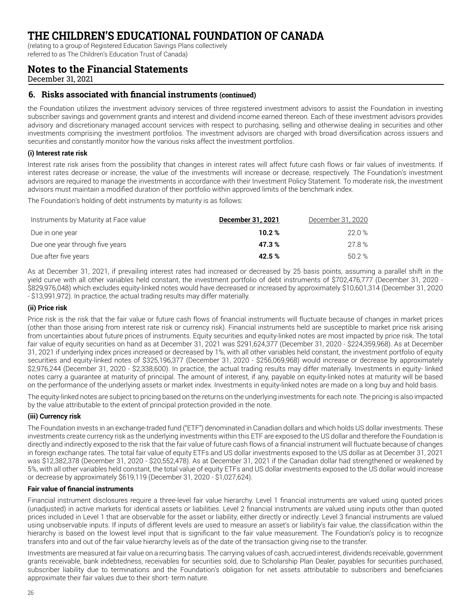(relating to a group of Registered Education Savings Plans collectively

referred to as The Children's Education Trust of Canada)

### **Notes to the Financial Statements**

December 31, 2021

#### **6. Risks associated with financial instruments (continued)**

the Foundation utilizes the investment advisory services of three registered investment advisors to assist the Foundation in investing subscriber savings and government grants and interest and dividend income earned thereon. Each of these investment advisors provides advisory and discretionary managed account services with respect to purchasing, selling and otherwise dealing in securities and other investments comprising the investment portfolios. The investment advisors are charged with broad diversification across issuers and securities and constantly monitor how the various risks affect the investment portfolios.

#### **(i) Interest rate risk**

Interest rate risk arises from the possibility that changes in interest rates will affect future cash flows or fair values of investments. If interest rates decrease or increase, the value of the investments will increase or decrease, respectively. The Foundation's investment advisors are required to manage the investments in accordance with their Investment Policy Statement. To moderate risk, the investment advisors must maintain a modified duration of their portfolio within approved limits of the benchmark index.

The Foundation's holding of debt instruments by maturity is as follows:

| Instruments by Maturity at Face value | December 31, 2021 | December 31, 2020 |
|---------------------------------------|-------------------|-------------------|
| Due in one year                       | 10.2%             | 22.0%             |
| Due one year through five years       | 47.3%             | 27.8 %            |
| Due after five years                  | 42.5%             | 50.2 %            |

As at December 31, 2021, if prevailing interest rates had increased or decreased by 25 basis points, assuming a parallel shift in the yield curve with all other variables held constant, the investment portfolio of debt instruments of \$702,476,777 (December 31, 2020 - \$829,976,048) which excludes equity-linked notes would have decreased or increased by approximately \$10,601,314 (December 31, 2020 - \$13,991,972). In practice, the actual trading results may differ materially.

#### **(ii) Price risk**

Price risk is the risk that the fair value or future cash flows of financial instruments will fluctuate because of changes in market prices (other than those arising from interest rate risk or currency risk). Financial instruments held are susceptible to market price risk arising from uncertainties about future prices of instruments. Equity securities and equity-linked notes are most impacted by price risk. The total fair value of equity securities on hand as at December 31, 2021 was \$291,624,377 (December 31, 2020 - \$224,359,968). As at December 31, 2021 if underlying index prices increased or decreased by 1%, with all other variables held constant, the investment portfolio of equity securities and equity-linked notes of \$325,196,377 (December 31, 2020 - \$256,069,968) would increase or decrease by approximately \$2,976,244 (December 31, 2020 - \$2,338,600). In practice, the actual trading results may differ materially. Investments in equity- linked notes carry a guarantee at maturity of principal. The amount of interest, if any, payable on equity-linked notes at maturity will be based on the performance of the underlying assets or market index. Investments in equity-linked notes are made on a long buy and hold basis.

The equity-linked notes are subject to pricing based on the returns on the underlying investments for each note. The pricing is also impacted by the value attributable to the extent of principal protection provided in the note.

#### **(iii) Currency risk**

The Foundation invests in an exchange-traded fund ("ETF") denominated in Canadian dollars and which holds US dollar investments. These investments create currency risk as the underlying investments within this ETF are exposed to the US dollar and therefore the Foundation is directly and indirectly exposed to the risk that the fair value of future cash flows of a financial instrument will fluctuate because of changes in foreign exchange rates. The total fair value of equity ETFs and US dollar investments exposed to the US dollar as at December 31, 2021 was \$12,382,378 (December 31, 2020 - \$20,552,478). As at December 31, 2021 if the Canadian dollar had strengthened or weakened by 5%, with all other variables held constant, the total value of equity ETFs and US dollar investments exposed to the US dollar would increase or decrease by approximately \$619,119 (December 31, 2020 - \$1,027,624).

#### **Fair value of financial instruments**

Financial instrument disclosures require a three-level fair value hierarchy. Level 1 financial instruments are valued using quoted prices (unadjusted) in active markets for identical assets or liabilities. Level 2 financial instruments are valued using inputs other than quoted prices included in Level 1 that are observable for the asset or liability, either directly or indirectly. Level 3 financial instruments are valued using unobservable inputs. If inputs of different levels are used to measure an asset's or liability's fair value, the classification within the hierarchy is based on the lowest level input that is significant to the fair value measurement. The Foundation's policy is to recognize transfers into and out of the fair value hierarchy levels as of the date of the transaction giving rise to the transfer.

Investments are measured at fair value on a recurring basis. The carrying values of cash, accrued interest, dividends receivable, government grants receivable, bank indebtedness, receivables for securities sold, due to Scholarship Plan Dealer, payables for securities purchased, subscriber liability due to terminations and the Foundation's obligation for net assets attributable to subscribers and beneficiaries approximate their fair values due to their short- term nature.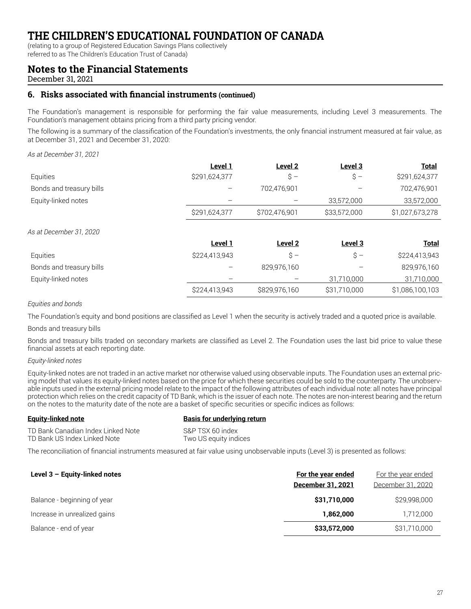(relating to a group of Registered Education Savings Plans collectively

referred to as The Children's Education Trust of Canada)

### **Notes to the Financial Statements**

December 31, 2021

### **6. Risks associated with financial instruments (continued)**

The Foundation's management is responsible for performing the fair value measurements, including Level 3 measurements. The Foundation's management obtains pricing from a third party pricing vendor.

The following is a summary of the classification of the Foundation's investments, the only financial instrument measured at fair value, as at December 31, 2021 and December 31, 2020:

*As at December 31, 2021*

|                          | Level 1       | Level <sub>2</sub> | Level 3               | <b>Total</b>    |
|--------------------------|---------------|--------------------|-----------------------|-----------------|
| Equities                 | \$291,624,377 | $\hat{S}$ -        | $\hat{\mathcal{S}}$ – | \$291,624,377   |
| Bonds and treasury bills |               | 702,476,901        |                       | 702,476,901     |
| Equity-linked notes      |               |                    | 33,572,000            | 33,572,000      |
|                          | \$291,624,377 | \$702,476,901      | \$33,572,000          | \$1,027,673,278 |
| As at December 31, 2020  |               |                    |                       |                 |
|                          | Level 1       | Level <sub>2</sub> | Level 3               | <b>Total</b>    |
| Equities                 | \$224,413,943 | \$ –               | $\mathsf{S}\,$ –      | \$224,413,943   |
| Bonds and treasury bills |               | 829,976,160        |                       | 829,976,160     |
| Equity-linked notes      |               |                    | 31,710,000            | 31,710,000      |
|                          | \$224,413,943 | \$829,976,160      | \$31,710,000          | \$1,086,100,103 |

#### *Equities and bonds*

The Foundation's equity and bond positions are classified as Level 1 when the security is actively traded and a quoted price is available.

Bonds and treasury bills

Bonds and treasury bills traded on secondary markets are classified as Level 2. The Foundation uses the last bid price to value these financial assets at each reporting date.

#### *Equity-linked notes*

Equity-linked notes are not traded in an active market nor otherwise valued using observable inputs. The Foundation uses an external pricing model that values its equity-linked notes based on the price for which these securities could be sold to the counterparty. The unobservable inputs used in the external pricing model relate to the impact of the following attributes of each individual note: all notes have principal protection which relies on the credit capacity of TD Bank, which is the issuer of each note. The notes are non-interest bearing and the return on the notes to the maturity date of the note are a basket of specific securities or specific indices as follows:

#### **Equity-linked note Basis for underlying return** TD Bank Canadian Index Linked Note S&P TSX 60 index

TD Bank US Index Linked Note Two US equity indices

The reconciliation of financial instruments measured at fair value using unobservable inputs (Level 3) is presented as follows:

| Level 3 - Equity-linked notes | For the year ended<br>December 31, 2021 | For the year ended<br>December 31, 2020 |
|-------------------------------|-----------------------------------------|-----------------------------------------|
| Balance - beginning of year   | \$31,710,000                            | \$29,998,000                            |
| Increase in unrealized gains  | 1,862,000                               | 1,712,000                               |
| Balance - end of year         | \$33,572,000                            | \$31,710,000                            |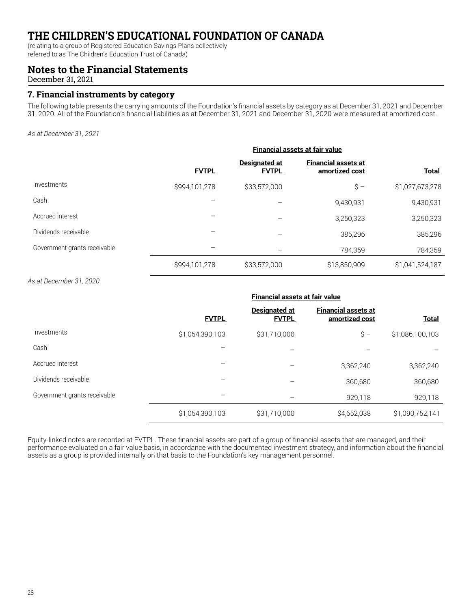(relating to a group of Registered Education Savings Plans collectively

referred to as The Children's Education Trust of Canada)

### **Notes to the Financial Statements**

December 31, 2021

#### **7. Financial instruments by category**

The following table presents the carrying amounts of the Foundation's financial assets by category as at December 31, 2021 and December 31, 2020. All of the Foundation's financial liabilities as at December 31, 2021 and December 31, 2020 were measured at amortized cost.

*As at December 31, 2021*

|                              | <b>Financial assets at fair value</b> |                                      |                                              |                 |  |  |
|------------------------------|---------------------------------------|--------------------------------------|----------------------------------------------|-----------------|--|--|
|                              | <b>FVTPL</b>                          | <b>Designated at</b><br><b>FVTPL</b> | <b>Financial assets at</b><br>amortized cost | <b>Total</b>    |  |  |
| Investments                  | \$994,101,278                         | \$33,572,000                         | $S -$                                        | \$1,027,673,278 |  |  |
| Cash                         |                                       |                                      | 9,430,931                                    | 9,430,931       |  |  |
| Accrued interest             |                                       |                                      | 3,250,323                                    | 3,250,323       |  |  |
| Dividends receivable         |                                       |                                      | 385,296                                      | 385,296         |  |  |
| Government grants receivable |                                       |                                      | 784,359                                      | 784,359         |  |  |
|                              | \$994,101,278                         | \$33,572,000                         | \$13,850,909                                 | \$1,041,524,187 |  |  |

*As at December 31, 2020*

|                              | <b>Financial assets at fair value</b> |                                      |                                              |                 |  |  |
|------------------------------|---------------------------------------|--------------------------------------|----------------------------------------------|-----------------|--|--|
|                              | <b>FVTPL</b>                          | <b>Designated at</b><br><b>FVTPL</b> | <b>Financial assets at</b><br>amortized cost | <b>Total</b>    |  |  |
| Investments                  | \$1,054,390,103                       | \$31,710,000                         | $\hat{S}$ -                                  | \$1,086,100,103 |  |  |
| Cash                         |                                       |                                      |                                              |                 |  |  |
| Accrued interest             |                                       |                                      | 3,362,240                                    | 3,362,240       |  |  |
| Dividends receivable         |                                       |                                      | 360,680                                      | 360,680         |  |  |
| Government grants receivable |                                       |                                      | 929,118                                      | 929,118         |  |  |
|                              | \$1,054,390,103                       | \$31,710,000                         | \$4,652,038                                  | \$1,090,752,141 |  |  |

Equity-linked notes are recorded at FVTPL. These financial assets are part of a group of financial assets that are managed, and their performance evaluated on a fair value basis, in accordance with the documented investment strategy, and information about the financial assets as a group is provided internally on that basis to the Foundation's key management personnel.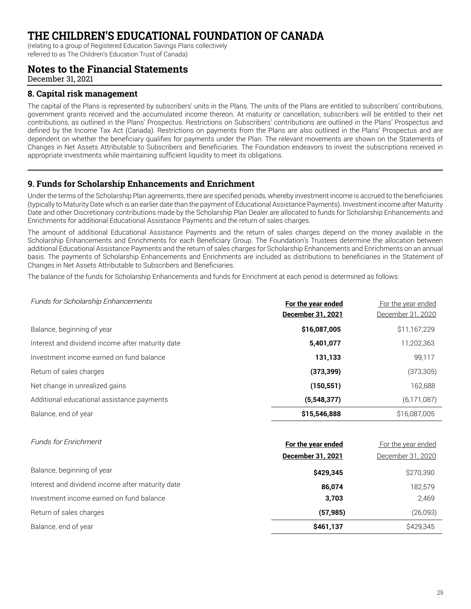(relating to a group of Registered Education Savings Plans collectively

referred to as The Children's Education Trust of Canada)

### **Notes to the Financial Statements**

December 31, 2021

#### **8. Capital risk management**

The capital of the Plans is represented by subscribers' units in the Plans. The units of the Plans are entitled to subscribers' contributions, government grants received and the accumulated income thereon. At maturity or cancellation, subscribers will be entitled to their net contributions, as outlined in the Plans' Prospectus. Restrictions on Subscribers' contributions are outlined in the Plans' Prospectus and defined by the Income Tax Act (Canada). Restrictions on payments from the Plans are also outlined in the Plans' Prospectus and are dependent on whether the beneficiary qualifies for payments under the Plan. The relevant movements are shown on the Statements of Changes in Net Assets Attributable to Subscribers and Beneficiaries. The Foundation endeavors to invest the subscriptions received in appropriate investments while maintaining sufficient liquidity to meet its obligations.

#### **9. Funds for Scholarship Enhancements and Enrichment**

Under the terms of the Scholarship Plan agreements, there are specified periods, whereby investment income is accrued to the beneficiaries (typically to Maturity Date which is an earlier date than the payment of Educational Assistance Payments). Investment income after Maturity Date and other Discretionary contributions made by the Scholarship Plan Dealer are allocated to funds for Scholarship Enhancements and Enrichments for additional Educational Assistance Payments and the return of sales charges.

The amount of additional Educational Assistance Payments and the return of sales charges depend on the money available in the Scholarship Enhancements and Enrichments for each Beneficiary Group. The Foundation's Trustees determine the allocation between additional Educational Assistance Payments and the return of sales charges for Scholarship Enhancements and Enrichments on an annual basis. The payments of Scholarship Enhancements and Enrichments are included as distributions to beneficiaries in the Statement of Changes in Net Assets Attributable to Subscribers and Beneficiaries.

The balance of the funds for Scholarship Enhancements and funds for Enrichment at each period is determined as follows:

| Funds for Scholarship Enhancements               | For the year ended<br>December 31, 2021 | For the year ended<br>December 31, 2020 |
|--------------------------------------------------|-----------------------------------------|-----------------------------------------|
| Balance, beginning of year                       | \$16,087,005                            | \$11,167,229                            |
| Interest and dividend income after maturity date | 5,401,077                               | 11,202,363                              |
| Investment income earned on fund balance         | 131,133                                 | 99,117                                  |
| Return of sales charges                          | (373, 399)                              | (373,305)                               |
| Net change in unrealized gains                   | (150, 551)                              | 162,688                                 |
| Additional educational assistance payments       | (5,548,377)                             | (6, 171, 087)                           |
| Balance, end of year                             | \$15,546,888                            | \$16,087,005                            |

| <b>Funds for Enrichment</b>                      | For the year ended | For the year ended |
|--------------------------------------------------|--------------------|--------------------|
|                                                  | December 31, 2021  | December 31, 2020  |
| Balance, beginning of year                       | \$429,345          | \$270,390          |
| Interest and dividend income after maturity date | 86,074             | 182,579            |
| Investment income earned on fund balance         | 3,703              | 2,469              |
| Return of sales charges                          | (57, 985)          | (26,093)           |
| Balance, end of year                             | \$461,137          | \$429,345          |
|                                                  |                    |                    |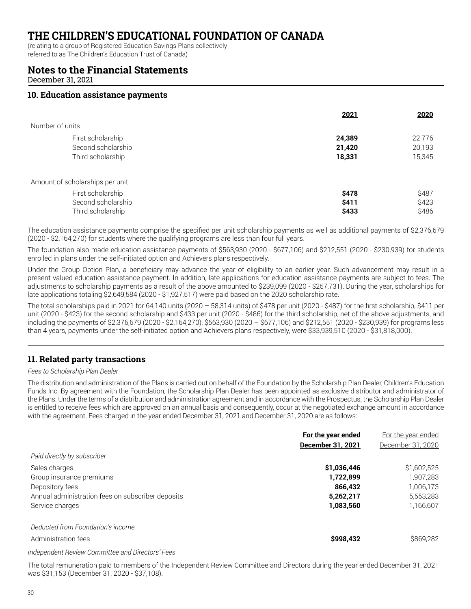(relating to a group of Registered Education Savings Plans collectively

referred to as The Children's Education Trust of Canada)

#### **Notes to the Financial Statements**

December 31, 2021

#### **10. Education assistance payments**

|                                 | 2021   | 2020     |
|---------------------------------|--------|----------|
| Number of units                 |        |          |
| First scholarship               | 24,389 | 22 7 7 6 |
| Second scholarship              | 21,420 | 20,193   |
| Third scholarship               | 18,331 | 15,345   |
| Amount of scholarships per unit |        |          |
| First scholarship               | \$478  | \$487    |
| Second scholarship              | \$411  | \$423    |
| Third scholarship               | \$433  | \$486    |

The education assistance payments comprise the specified per unit scholarship payments as well as additional payments of \$2,376,679 (2020 - \$2,164,270) for students where the qualifying programs are less than four full years.

The foundation also made education assistance payments of \$563,930 (2020 - \$677,106) and \$212,551 (2020 - \$230,939) for students enrolled in plans under the self-initiated option and Achievers plans respectively.

Under the Group Option Plan, a beneficiary may advance the year of eligibility to an earlier year. Such advancement may result in a present valued education assistance payment. In addition, late applications for education assistance payments are subject to fees. The adjustments to scholarship payments as a result of the above amounted to \$239,099 (2020 - \$257,731). During the year, scholarships for late applications totaling \$2,649,584 (2020 - \$1,927,517) were paid based on the 2020 scholarship rate.

The total scholarships paid in 2021 for 64,140 units (2020 – 58,314 units) of \$478 per unit (2020 - \$487) for the first scholarship, \$411 per unit (2020 - \$423) for the second scholarship and \$433 per unit (2020 - \$486) for the third scholarship, net of the above adjustments, and including the payments of \$2,376,679 (2020 - \$2,164,270), \$563,930 (2020 – \$677,106) and \$212,551 (2020 - \$230,939) for programs less than 4 years, payments under the self-initiated option and Achievers plans respectively, were \$33,939,510 (2020 - \$31,818,000).

#### **11. Related party transactions**

#### *Fees to Scholarship Plan Dealer*

The distribution and administration of the Plans is carried out on behalf of the Foundation by the Scholarship Plan Dealer, Children's Education Funds Inc. By agreement with the Foundation, the Scholarship Plan Dealer has been appointed as exclusive distributor and administrator of the Plans. Under the terms of a distribution and administration agreement and in accordance with the Prospectus, the Scholarship Plan Dealer is entitled to receive fees which are approved on an annual basis and consequently, occur at the negotiated exchange amount in accordance with the agreement. Fees charged in the year ended December 31, 2021 and December 31, 2020 are as follows:

|                                                   | For the year ended | For the year ended |
|---------------------------------------------------|--------------------|--------------------|
|                                                   | December 31, 2021  | December 31, 2020  |
| Paid directly by subscriber                       |                    |                    |
| Sales charges                                     | \$1,036,446        | \$1,602,525        |
| Group insurance premiums                          | 1,722,899          | 1,907,283          |
| Depository fees                                   | 866.432            | 1,006,173          |
| Annual administration fees on subscriber deposits | 5,262,217          | 5,553,283          |
| Service charges                                   | 1,083,560          | 1,166,607          |
| Deducted from Foundation's income                 |                    |                    |
| Administration fees                               | \$998,432          | \$869,282          |
|                                                   |                    |                    |

#### *Independent Review Committee and Directors' Fees*

The total remuneration paid to members of the Independent Review Committee and Directors during the year ended December 31, 2021 was \$31,153 (December 31, 2020 - \$37,108).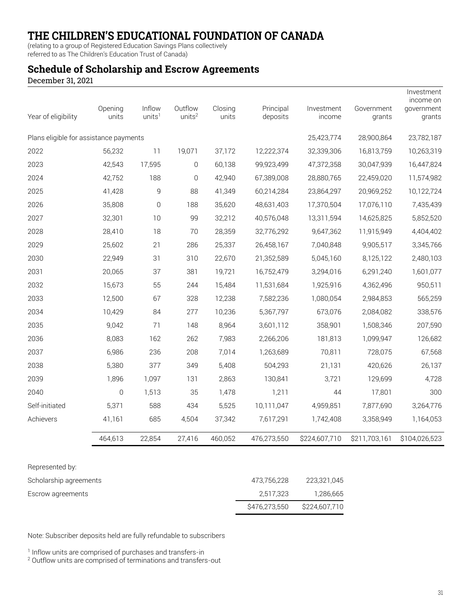(relating to a group of Registered Education Savings Plans collectively

### referred to as The Children's Education Trust of Canada)

### **Schedule of Scholarship and Escrow Agreements**

December 31, 2021

| Year of eligibility                    | Opening<br>units | Inflow<br>units <sup>1</sup> | Outflow<br>units <sup>2</sup> | Closing<br>units | Principal<br>deposits | Investment<br>income | Government<br>grants | Investment<br>income on<br>government<br>grants |
|----------------------------------------|------------------|------------------------------|-------------------------------|------------------|-----------------------|----------------------|----------------------|-------------------------------------------------|
| Plans eligible for assistance payments |                  |                              |                               |                  |                       | 25,423,774           | 28,900,864           | 23,782,187                                      |
| 2022                                   | 56,232           | 11                           | 19,071                        | 37,172           | 12,222,374            | 32,339,306           | 16,813,759           | 10,263,319                                      |
| 2023                                   | 42,543           | 17,595                       | 0                             | 60,138           | 99,923,499            | 47,372,358           | 30,047,939           | 16,447,824                                      |
| 2024                                   | 42,752           | 188                          | $\mathbf{0}$                  | 42,940           | 67,389,008            | 28,880,765           | 22,459,020           | 11,574,982                                      |
| 2025                                   | 41,428           | 9                            | 88                            | 41,349           | 60,214,284            | 23,864,297           | 20,969,252           | 10,122,724                                      |
| 2026                                   | 35,808           | $\mathbf 0$                  | 188                           | 35,620           | 48,631,403            | 17,370,504           | 17,076,110           | 7,435,439                                       |
| 2027                                   | 32,301           | 10                           | 99                            | 32,212           | 40,576,048            | 13,311,594           | 14,625,825           | 5,852,520                                       |
| 2028                                   | 28,410           | 18                           | 70                            | 28,359           | 32,776,292            | 9,647,362            | 11,915,949           | 4,404,402                                       |
| 2029                                   | 25,602           | 21                           | 286                           | 25,337           | 26,458,167            | 7,040,848            | 9,905,517            | 3,345,766                                       |
| 2030                                   | 22,949           | 31                           | 310                           | 22,670           | 21,352,589            | 5,045,160            | 8,125,122            | 2,480,103                                       |
| 2031                                   | 20,065           | 37                           | 381                           | 19,721           | 16,752,479            | 3,294,016            | 6,291,240            | 1,601,077                                       |
| 2032                                   | 15,673           | 55                           | 244                           | 15,484           | 11,531,684            | 1,925,916            | 4,362,496            | 950,511                                         |
| 2033                                   | 12,500           | 67                           | 328                           | 12,238           | 7,582,236             | 1,080,054            | 2,984,853            | 565,259                                         |
| 2034                                   | 10,429           | 84                           | 277                           | 10,236           | 5,367,797             | 673,076              | 2,084,082            | 338,576                                         |
| 2035                                   | 9,042            | 71                           | 148                           | 8,964            | 3,601,112             | 358,901              | 1,508,346            | 207,590                                         |
| 2036                                   | 8,083            | 162                          | 262                           | 7,983            | 2,266,206             | 181,813              | 1,099,947            | 126,682                                         |
| 2037                                   | 6,986            | 236                          | 208                           | 7,014            | 1,263,689             | 70,811               | 728,075              | 67,568                                          |
| 2038                                   | 5,380            | 377                          | 349                           | 5,408            | 504,293               | 21,131               | 420,626              | 26,137                                          |
| 2039                                   | 1,896            | 1,097                        | 131                           | 2,863            | 130,841               | 3,721                | 129,699              | 4,728                                           |
| 2040                                   | $\overline{0}$   | 1,513                        | 35                            | 1,478            | 1,211                 | 44                   | 17,801               | 300                                             |
| Self-initiated                         | 5,371            | 588                          | 434                           | 5,525            | 10,111,047            | 4,959,851            | 7,877,690            | 3,264,776                                       |
| Achievers                              | 41,161           | 685                          | 4,504                         | 37,342           | 7,617,291             | 1,742,408            | 3,358,949            | 1,164,053                                       |
|                                        | 464,613          | 22,854                       | 27,416                        | 460,052          | 476,273,550           | \$224,607,710        | \$211,703,161        | \$104,026,523                                   |
| Represented by:                        |                  |                              |                               |                  |                       |                      |                      |                                                 |

|                        | S476.273.550 | \$224,607,710 |
|------------------------|--------------|---------------|
| Escrow agreements      | 2.517.323    | 1,286,665     |
| Scholarship agreements | 473.756.228  | 223,321,045   |
| TICPICSCHILCU DY.      |              |               |

Note: Subscriber deposits held are fully refundable to subscribers

<sup>1</sup> Inflow units are comprised of purchases and transfers-in

<sup>2</sup> Outflow units are comprised of terminations and transfers-out